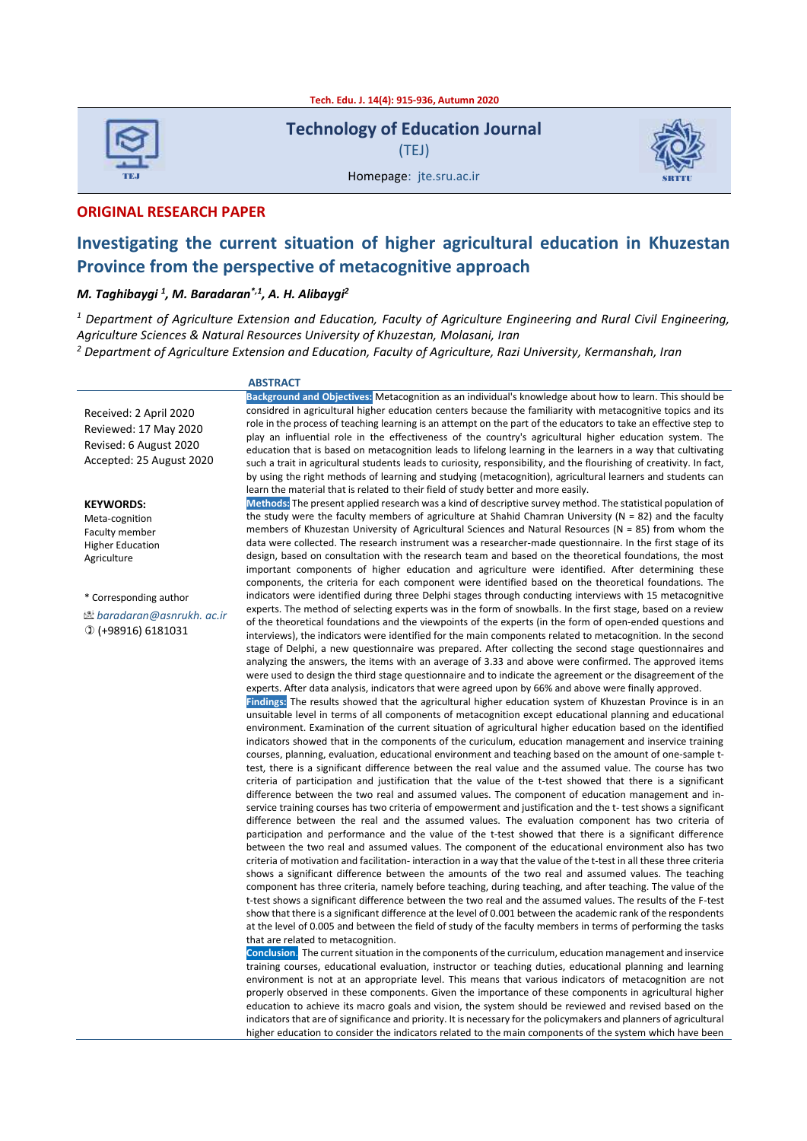**Tech. Edu. J. 14(4): 915-936, Autumn 2020**



**Technology of Education Journal** (TEJ)



Homepage: jte.sru.ac.ir TEJ SRTTU

#### **ORIGINAL RESEARCH PAPER**

## **Investigating the current situation of higher agricultural education in Khuzestan Province from the perspective of metacognitive approach**

#### *M. Taghibaygi <sup>1</sup> , M. Baradaran\*,1 , A. H. Alibaygi<sup>2</sup>*

*<sup>1</sup> Department of Agriculture Extension and Education, Faculty of Agriculture Engineering and Rural Civil Engineering, Agriculture Sciences & Natural Resources University of Khuzestan, Molasani, Iran*

*<sup>2</sup> Department of Agriculture Extension and Education, Faculty of Agriculture, Razi University, Kermanshah, Iran* 

#### **ABSTRACT**

Received: 2 April 2020 Reviewed: 17 May 2020 Revised: 6 August 2020 Accepted: 25 August 2020

**KEYWORDS:**

Meta-cognition Faculty member Higher Education Agriculture

\* Corresponding author

*baradaran@asnrukh. ac.ir* (+98916) 6181031

**Background and Objectives:** Metacognition as an individual's knowledge about how to learn. This should be considred in agricultural higher education centers because the familiarity with metacognitive topics and its role in the process of teaching learning is an attempt on the part of the educators to take an effective step to play an influential role in the effectiveness of the country's agricultural higher education system. The education that is based on metacognition leads to lifelong learning in the learners in a way that cultivating such a trait in agricultural students leads to curiosity, responsibility, and the flourishing of creativity. In fact, by using the right methods of learning and studying (metacognition), agricultural learners and students can learn the material that is related to their field of study better and more easily.

**Methods:** The present applied research was a kind of descriptive survey method. The statistical population of the study were the faculty members of agriculture at Shahid Chamran University ( $N = 82$ ) and the faculty members of Khuzestan University of Agricultural Sciences and Natural Resources (N = 85) from whom the data were collected. The research instrument was a researcher-made questionnaire. In the first stage of its design, based on consultation with the research team and based on the theoretical foundations, the most important components of higher education and agriculture were identified. After determining these components, the criteria for each component were identified based on the theoretical foundations. The indicators were identified during three Delphi stages through conducting interviews with 15 metacognitive experts. The method of selecting experts was in the form of snowballs. In the first stage, based on a review of the theoretical foundations and the viewpoints of the experts (in the form of open-ended questions and interviews), the indicators were identified for the main components related to metacognition. In the second stage of Delphi, a new questionnaire was prepared. After collecting the second stage questionnaires and analyzing the answers, the items with an average of 3.33 and above were confirmed. The approved items were used to design the third stage questionnaire and to indicate the agreement or the disagreement of the experts. After data analysis, indicators that were agreed upon by 66% and above were finally approved.

**Findings:** The results showed that the agricultural higher education system of Khuzestan Province is in an unsuitable level in terms of all components of metacognition except educational planning and educational environment. Examination of the current situation of agricultural higher education based on the identified indicators showed that in the components of the curiculum, education management and inservice training courses, planning, evaluation, educational environment and teaching based on the amount of one-sample ttest, there is a significant difference between the real value and the assumed value. The course has two criteria of participation and justification that the value of the t-test showed that there is a significant difference between the two real and assumed values. The component of education management and inservice training courses has two criteria of empowerment and justification and the t- test shows a significant difference between the real and the assumed values. The evaluation component has two criteria of participation and performance and the value of the t-test showed that there is a significant difference between the two real and assumed values. The component of the educational environment also has two criteria of motivation and facilitation- interaction in a way that the value of the t-test in all these three criteria shows a significant difference between the amounts of the two real and assumed values. The teaching component has three criteria, namely before teaching, during teaching, and after teaching. The value of the t-test shows a significant difference between the two real and the assumed values. The results of the F-test show that there is a significant difference at the level of 0.001 between the academic rank of the respondents at the level of 0.005 and between the field of study of the faculty members in terms of performing the tasks that are related to metacognition.

**Conclusion**. The current situation in the components of the curriculum, education management and inservice training courses, educational evaluation, instructor or teaching duties, educational planning and learning environment is not at an appropriate level. This means that various indicators of metacognition are not properly observed in these components. Given the importance of these components in agricultural higher education to achieve its macro goals and vision, the system should be reviewed and revised based on the indicators that are of significance and priority. It is necessary for the policymakers and planners of agricultural higher education to consider the indicators related to the main components of the system which have been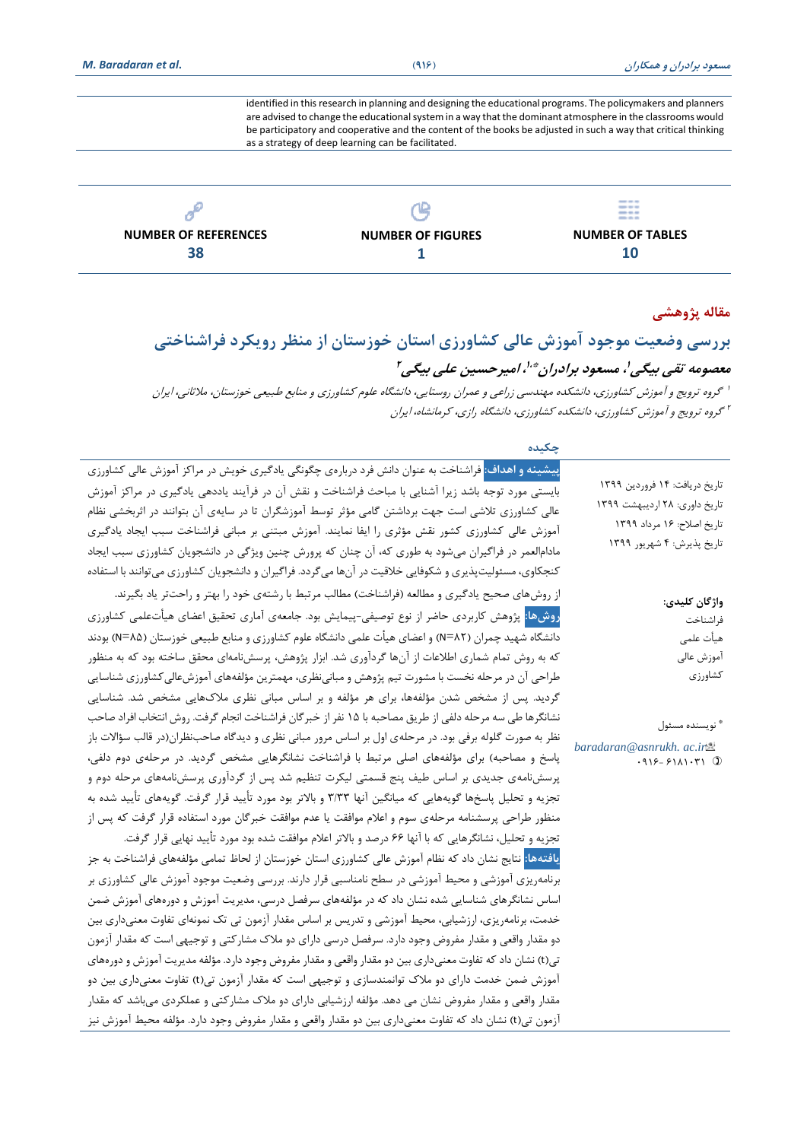identified in this research in planning and designing the educational programs. The policymakers and planners are advised to change the educational system in a way that the dominant atmosphere in the classrooms would be participatory and cooperative and the content of the books be adjusted in such a way that critical thinking as a strategy of deep learning can be facilitated.



### **مقاله پژوهشی**

# **بررسی وضعیت موجود آموزش عالی کشاورزی استان خوزستان از منظر رویکرد فراشناختی معصومه تقی بیگی ، مسعود برادران <sup>1</sup> 1،\* ، ام یرحسین علی بیگی 2** 1 گروه ترویج و آموزش کشاورزی، دانشکده مهندسی زراعی و عمران روستایی، دانشگاه علوم کشاورزی و منابع طبیعی خوزستان، مالثانی، ایران

2 گروه ترویج و آموزش کشاورزی، دانشکده کشاورزی، دانشگاه رازی، کرمانشاه، ایران

| پیشینه <b>و اهداف: فراشناخ</b> ت به عنوان دانش فرد دربارهی چگونگی یادگیری خویش در مراکز آموزش عالی کشاورزی<br>تاریخ دریافت: ۱۴ فروردین ۱۳۹۹<br>بایستی مورد توجه باشد زیرا آشنایی با مباحث فراشناخت و نقش آن در فرآیند یاددهی یادگیری در مراکز آموزش<br>تاریخ داوری: ۲۸ اردیبهشت ۱۳۹۹<br>عالی کشاورزی تلاشی است جهت برداشتن گامی مؤثر توسط آموزشگران تا در سایهی آن بتوانند در اثربخشی نظام<br>تاريخ اصلاح: ١۶ مرداد ١٣٩٩<br>آموزش عالی کشاورزی کشور نقش مؤثری را ایفا نمایند. آموزش مبتنی بر مبانی فراشناخت سبب ایجاد یادگیری<br>تاریخ پذیرش: ۴ شهریور ۱۳۹۹<br>مادامالعمر در فراگیران میشود به طوری که، آن چنان که پرورش چنین ویژگی در دانشجویان کشاورزی سبب ایجاد<br>کنجکاوی، مسئولیتپذیری و شکوفایی خلاقیت در آنها میگردد. فراگیران و دانشجویان کشاورزی میتوانند با استفاده<br>از روشهای صحیح یادگیری و مطالعه (فراشناخت) مطالب مرتبط با رشتهی خود را بهتر و راحتتر یاد بگیرند.<br>واژگان كليدي:<br>روشها: پژوهش کاربردی حاضر از نوع توصیفی–پیمایش بود. جامعهی آماری تحقیق اعضای هیأتعلمی کشاورزی<br>فراشناخت<br>دانشگاه شهید چمران (N=۸۲) و اعضای هیأت علمی دانشگاه علوم کشاورزی و منابع طبیعی خوزستان (N=۸۵) بودند<br>هيأت علمى<br>که به روش تمام شماری اطلاعات از آنها گردآوری شد. ابزار پژوهش، پرسشنامهای محقق ساخته بود که به منظور<br>آموزش عالى<br>كشاورزي<br>طراحی آن در مرحله نخست با مشورت تیم پژوهش و مبانی نظری، مهمترین مؤلفههای آموزشءالی کشاورزی شناسایی<br>گردید. پس از مشخص شدن مؤلفهها، برای هر مؤلفه و بر اساس مبانی نظری ملاکهایی مشخص شد. شناسایی<br>نشانگرها طی سه مرحله دلفی از طریق مصاحبه با ۱۵ نفر از خبر گان فراشناخت انجام گرفت. روش انتخاب افراد صاحب<br>® نويسنده مسئول<br>نظر به صورت گلوله برفی بود. در مرحلهی اول بر اساس مرور مبانی نظری و دیدگاه صاحبنظران(در قالب سؤالات باز<br>baradaran@asnrukh. ac.in <sup>8</sup><br>پاسخ و مصاحبه) برای مؤلفههای اصلی مرتبط با فراشناخت نشانگرهایی مشخص گردید. در مرحلهی دوم دلفی،<br>$.915 - 5111 - T1$ 1<br>پرسشنامهی جدیدی بر اساس طیف پنج قسمتی لیکرت تنظیم شد پس از گردآوری پرسشنامههای مرحله دوم و<br>تجزیه و تحلیل پاسخها گویههایی که میانگین آنها ۳/۳۳ و بالاتر بود مورد تأیید قرار گرفت. گویههای تأیید شده به<br>منظور طراحی پرسشنامه مرحلهی سوم و اعلام موافقت یا عدم موافقت خبرگان مورد استفاده قرار گرفت که پس از<br>تجزیه و تحلیل، نشانگرهایی که با آنها ۶۶ درصد و بالاتر اعلام موافقت شده بود مورد تأیید نهایی قرار گرفت.<br><mark>یافتهها:</mark> نتایج نشان داد که نظام آموزش عالی کشاورزی استان خوزستان از لحاظ تمامی مؤلفههای فراشناخت به جز<br>برنامهریزی آموزشی و محیط آموزشی در سطح نامناسبی قرار دارند. بررسی وضعیت موجود آموزش عالی کشاورزی بر<br>اساس نشانگرهای شناسایی شده نشان داد که در مؤلفههای سرفصل درسی، مدیریت آموزش و دورههای آموزش ضمن<br>خدمت، برنامهریزی، ارزشیابی، محیط آموزشی و تدریس بر اساس مقدار آزمون تی تک نمونهای تفاوت معنیداری بین<br>دو مقدار واقعی و مقدار مفروض وجود دارد. سرفصل درسی دارای دو ملاک مشارکتی و توجیهی است که مقدار آزمون<br>تی(t) نشان داد که تفاوت معنیداری بین دو مقدار واقعی و مقدار مفروض وجود دارد. مؤلفه مدیریت آموزش و دورههای<br>آموزش ضمن خدمت دارای دو ملاک توانمندسازی و توجیهی است که مقدار آزمون تی(t) تفاوت معنیداری بین دو<br>مقدار واقعی و مقدار مفروض نشان می دهد. مؤلفه ارزشیابی دارای دو ملاک مشارکتی و عملکردی میباشد که مقدار | چکیده |  |
|-----------------------------------------------------------------------------------------------------------------------------------------------------------------------------------------------------------------------------------------------------------------------------------------------------------------------------------------------------------------------------------------------------------------------------------------------------------------------------------------------------------------------------------------------------------------------------------------------------------------------------------------------------------------------------------------------------------------------------------------------------------------------------------------------------------------------------------------------------------------------------------------------------------------------------------------------------------------------------------------------------------------------------------------------------------------------------------------------------------------------------------------------------------------------------------------------------------------------------------------------------------------------------------------------------------------------------------------------------------------------------------------------------------------------------------------------------------------------------------------------------------------------------------------------------------------------------------------------------------------------------------------------------------------------------------------------------------------------------------------------------------------------------------------------------------------------------------------------------------------------------------------------------------------------------------------------------------------------------------------------------------------------------------------------------------------------------------------------------------------------------------------------------------------------------------------------------------------------------------------------------------------------------------------------------------------------------------------------------------------------------------------------------------------------------------------------------------------------------------------------------------------------------------------------------------------------------------------------------------------------------------------------------------------------------------------------------------------------------------------------------------------------------------------------------------------------------------------------------------------------------------------------------------------------------------------------------------------------------------------------------------------------------------------------------------------------------------------------------------------------------------------------------------------------------------------------|-------|--|
|                                                                                                                                                                                                                                                                                                                                                                                                                                                                                                                                                                                                                                                                                                                                                                                                                                                                                                                                                                                                                                                                                                                                                                                                                                                                                                                                                                                                                                                                                                                                                                                                                                                                                                                                                                                                                                                                                                                                                                                                                                                                                                                                                                                                                                                                                                                                                                                                                                                                                                                                                                                                                                                                                                                                                                                                                                                                                                                                                                                                                                                                                                                                                                                               |       |  |
|                                                                                                                                                                                                                                                                                                                                                                                                                                                                                                                                                                                                                                                                                                                                                                                                                                                                                                                                                                                                                                                                                                                                                                                                                                                                                                                                                                                                                                                                                                                                                                                                                                                                                                                                                                                                                                                                                                                                                                                                                                                                                                                                                                                                                                                                                                                                                                                                                                                                                                                                                                                                                                                                                                                                                                                                                                                                                                                                                                                                                                                                                                                                                                                               |       |  |
|                                                                                                                                                                                                                                                                                                                                                                                                                                                                                                                                                                                                                                                                                                                                                                                                                                                                                                                                                                                                                                                                                                                                                                                                                                                                                                                                                                                                                                                                                                                                                                                                                                                                                                                                                                                                                                                                                                                                                                                                                                                                                                                                                                                                                                                                                                                                                                                                                                                                                                                                                                                                                                                                                                                                                                                                                                                                                                                                                                                                                                                                                                                                                                                               |       |  |
|                                                                                                                                                                                                                                                                                                                                                                                                                                                                                                                                                                                                                                                                                                                                                                                                                                                                                                                                                                                                                                                                                                                                                                                                                                                                                                                                                                                                                                                                                                                                                                                                                                                                                                                                                                                                                                                                                                                                                                                                                                                                                                                                                                                                                                                                                                                                                                                                                                                                                                                                                                                                                                                                                                                                                                                                                                                                                                                                                                                                                                                                                                                                                                                               |       |  |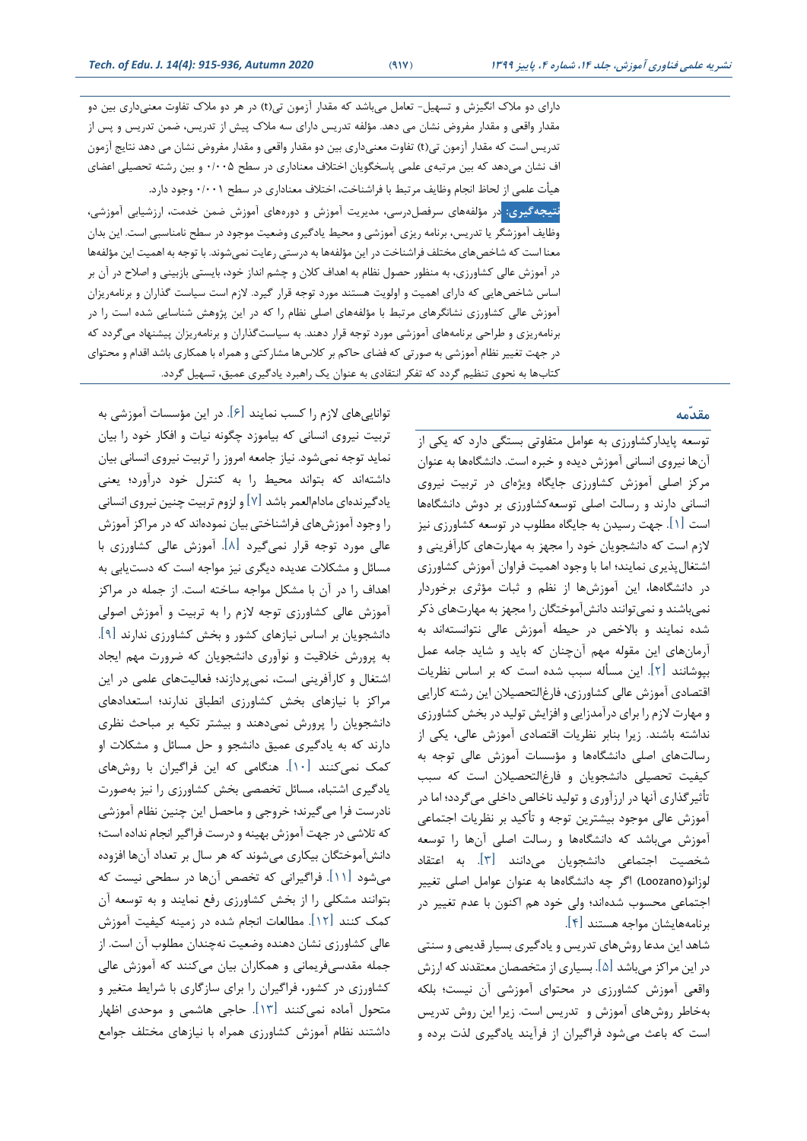دارای دو مالک انگیزش و تسهیل- تعامل میباشد که مقدار آزمون تی) t )در هر دو مالک تفاوت معنیداری بین دو مقدار واقعی و مقدار مفروض نشان می دهد. مؤلفه تدریس دارای سه مالک پیش از تدریس، ضمن تدریس و پس از تدریس است که مقدار آزمون تی)t )تفاوت معنیداری بین دو مقدار واقعی و مقدار مفروض نشان می دهد نتایج آزمون اف نشان میدهد که بین مرتبهی علمی پاسخگویان اختالف معناداری در سطح 0/005 و بین رشته تحصیلی اعضای هیأت علمی از لحاظ انجام وظایف مرتبط با فراشناخت، اختالف معناداری در سطح 0/001 وجود دارد.

**نتیجهگیری:** در مؤلفههای سرفصلدرسی، مدیریت آموزش و دورههای آموزش ضمن خدمت، ارزشیابی آموزشی، وظایف آموزشگر یا تدریس، برنامه ریزی آموزشی و محیط یادگیری وضعیت موجود در سطح نامناسبی است. این بدان معنا است که شاخصهای مختلف فراشناخت در این مؤلفهها به درستی رعایت نمیشوند. با توجه به اهمیت این مؤلفهها در آموزش عالی کشاورزی، به منظور حصول نظام به اهداف کالن و چشم انداز خود، بایستی بازبینی و اصالح در آن بر اساس شاخصهایی که دارای اهمیت و اولویت هستند مورد توجه قرار گیرد. الزم است سیاست گذاران و برنامهریزان آموزش عالی کشاورزی نشانگرهای مرتبط با مؤلفههای اصلی نظام را که در این پژوهش شناسایی شده است را در برنامه ریزی و طراحی برنامههای آموزشی مورد توجه قرار دهند. به سیاستگذاران و برنامه ریزان پیشنهاد میگردد که در جهت تغییر نظام آموزشی به صورتی که فضای حاکم بر کالسها مشارکتی و همراه با همکاری باشد اقدام و محتوای کتابها به نحوی تنظیم گردد که تفکر انتقادی به عنوان یک راهبرد یادگیری عمیق، تسهیل گردد.

### **مقدّمه**

توسعه پایدارکشاورزی به عوامل متفاوتی بستگی دارد که یکی از آنها نیروی انسانی آموزش دیده و خبره است. دانشگاهها به عنوان مرکز اصلی آموزش کشاورزی جایگاه ویژهای در تربیت نیروی انسانی دارند و رسالت اصلی توسعهکشاورزی بر دوش دانشگاهها است ]1[. جهت رسیدن به جایگاه مطلوب در توسعه کشاورزی نیز الزم است که دانشجویان خود را مجهز به مهارتهای کارآفرینی و اشتغالپذیری نمایند؛ اما با وجود اهمیت فراوان آموزش کشاورزی در دانشگاهها، این آموزشها از نظم و ثبات مؤثری برخوردار نمیباشند و نمیتوانند دانشآموختگان را مجهز به مهارتهای ذکر شده نمایند و باالخص در حیطه آموزش عالی نتوانستهاند به آرمان های این مقوله مهم آن چنان که باید و شاید جامه عمل بپوشانند ]2[. این مسأله سبب شده است که بر اساس نظریات اقتصادی آموزش عالی کشاورزی، فارغالتحصیالن این رشته کارایی و مهارت الزم را برای درآمدزایی و افزایش تولید در بخش کشاورزی نداشته باشند. زیرا بنابر نظریات اقتصادی آموزش عالی، یکی از رسالتهای اصلی دانشگاهها و مؤسسات آموزش عالی توجه به کیفیت تحصیلی دانشجویان و فارغالتحصیالن است که سبب تأثیرگذاری آنها در ارزآوری و تولید ناخالص داخلی میگردد؛ اما در آموزش عالی موجود بیشترین توجه و تأکید بر نظریات اجتماعی آموزش میباشد که دانشگاهها و رسالت اصلی آنها را توسعه شخصیت اجتماعی دانشجویان میدانند ]3[. به اعتقاد لوزانو) Loozano )اگر چه دانشگاهها به عنوان عوامل اصلی تغییر اجتماعی محسوب شدهاند؛ ولی خود هم اکنون با عدم تغییر در برنامههایشان مواجه هستند ]4[.

شاهد این مدعا روشهای تدریس و یادگیری بسیار قدیمی و سنتی در این مراکز میباشد ]5[. بسیاری از متخصصان معتقدند که ارزش واقعی آموزش کشاورزی در محتوای آموزشی آن نیست؛ بلکه بهخاطر روشهای آموزش و تدریس است. زیرا این روش تدریس است که باعث میشود فراگیران از فرآیند یادگیری لذت برده و

تواناییهای الزم را کسب نمایند ]6[. در این مؤسسات آموزشی به تربیت نیروی انسانی که بیاموزد چگونه نیات و افکار خود را بیان نماید توجه نمیشود. نیاز جامعه امروز را تربیت نیروی انسانی بیان داشتهاند که بتواند محیط را به کنترل خود درآورد؛ یعنی یادگیرنده ای مادامالعمر باشد ] 7[ و لزوم تربیت چنین نیروی انسانی را وجود آموزشهای فراشناختی بیان نموده اند که در مراکز آموزش عالی مورد توجه قرار نمی گیرد ]8[ . آموزش عالی کشاورزی با مسائل و مشکالت عدیده دیگری نیز مواجه است که دستیابی به اهداف را در آن با مشکل مواجه ساخته است. از جمله در مراکز آموزش عالی کشاورزی توجه الزم را به تربیت و آموزش اصولی دانشجویان بر اساس نیازهای کشور و بخش کشاورزی ندارند ]9[. به پرورش خالقیت و نوآوری دانشجویان که ضرورت مهم ایجاد اشتغال و کارآفرینی است، نمیپردازند؛ فعالیتهای علمی در این مراکز با نیازهای بخش کشاورزی انطباق ندارند؛ استعدادهای دانشجویان را پرورش نمیدهند و بیشتر تکیه بر مباحث نظری دارند که به یادگیری عمیق دانشجو و حل مسائل و مشکالت او کمک نمیکنند ]10[. هنگامی که این فراگیران با روشهای یادگیری اشتباه، مسائل تخصصی بخش کشاورزی را نیز بهصورت نادرست فرا میگیرند؛ خروجی و ماحصل این چنین نظام آموزشی که تالشی در جهت آموزش بهینه و درست فراگیر انجام نداده است؛ دانش آموختگان بیکاری میشوند که هر سال بر تعداد آنها افزوده میشود ]11[. فراگیرانی که تخصص آنها در سطحی نیست که بتوانند مشکلی را از بخش کشاورزی رفع نمایند و به توسعه آن کمک کنند ]12[. مطالعات انجام شده در زمینه کیفیت آموزش عالی کشاورزی نشان دهنده وضعیت نهچندان مطلوب آن است. از جمله مقدسیفریمانی و همکاران بیان میکنند که آموزش عالی کشاورزی در کشور، فراگیران را برای سازگاری با شرایط متغیر و متحول آماده نمیکنند ]13[. حاجی هاشمی و موحدی اظهار داشتند نظام آموزش کشاورزی همراه با نیازهای مختلف جوامع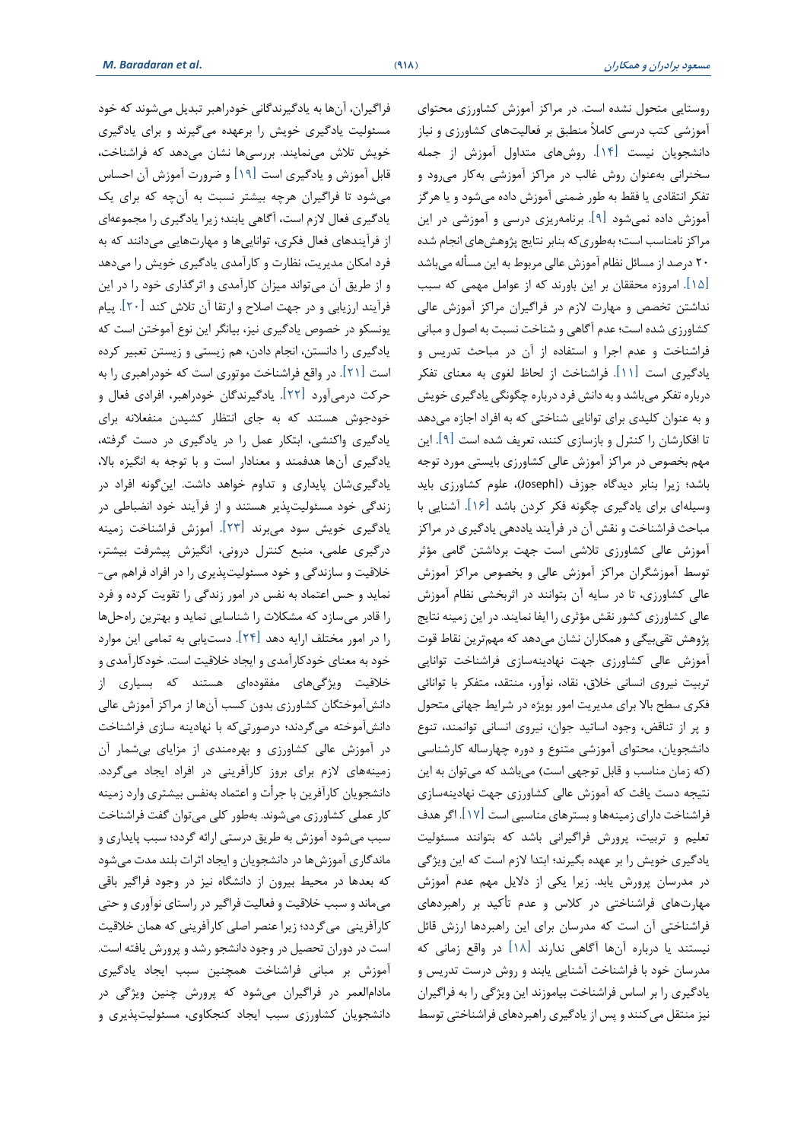روستایی متحول نشده است. در مراکز آموزش کشاورزی محتوای آموزشی کتب درسی کامالً منطبق بر فعالیتهای کشاورزی و نیاز دانشجویان نیست ]14[ . روشهای متداول آموزش از جمله سخنرانی به عنوان روش غالب در مراکز آموزشی بهکار میرود و تفکر انتقادی یا فقط به طور ضمنی آموزش داده میشود و یا هرگز آموزش داده نمیشود ]9[. برنامهریزی درسی و آموزشی در این مراکز نامناسب است؛ به طوری که بنابر نتایج پژوهشهای انجام شده 20 درصد از مسائل نظام آموزش عالی مربوط به این مسأله میباشد ]15[. امروزه محققان بر این باورند که از عوامل مهمی که سبب نداشتن تخصص و مهارت الزم در فراگیران مراکز آموزش عالی کشاورزی شده است؛ عدم آگاهی و شناخت نسبت به اصول و مبانی فراشناخت و عدم اجرا و استفاده از آن در مباحث تدریس و یادگیری است ]11[. فراشناخت از لحاظ لغوی به معنای تفکر درباره تفکر میباشد و به دانش فرد درباره چگونگی یادگیری خویش و به عنوان کلیدی برای توانایی شناختی که به افراد اجازه میدهد تا افکارشان را کنترل و بازسازی کنند، تعریف شده است ]9[. این مهم بخصوص در مراکز آموزش عالی کشاورزی بایستی مورد توجه باشد؛ زیرا بنابر دیدگاه جوزف )]Joseph)، علوم کشاورزی باید وسیلهای برای یادگیری چگونه فکر کردن باشد ]16[. آشنایی با مباحث فراشناخت و نقش آن در فرآیند یاددهی یادگیری در مراکز آموزش عالی کشاورزی تالشی است جهت برداشتن گامی مؤثر توسط آموزشگران مراکز آموزش عالی و بخصوص مراکز آموزش عالی کشاورزی، تا در سایه آن بتوانند در اثربخشی نظام آموزش عالی کشاورزی کشور نقش مؤثری را ایفا نمایند. در این زمینه نتایج پژوهش تقیبیگی و همکاران نشان میدهد که مهمترین نقاط قوت آموزش عالی کشاورزی جهت نهادینهسازی فراشناخت توانایی تربیت نیروی انسانی خالق، نقاد، نوآور، منتقد، متفکر با توانائی فکری سطح باال برای مدیریت امور بویژه در شرایط جهانی متحول و پر از تناقض، وجود اساتید جوان، نیروی انسانی توانمند، تنوع دانشجویان، محتوای آموزشی متنوع و دوره چهارساله کارشناسی (که زمان مناسب و قابل توجهی است) میباشد که میتوان به این نتیجه دست یافت که آموزش عالی کشاورزی جهت نهادینهسازی فراشناخت دارای زمینهها و بسترهای مناسبی است ]17[. اگر هدف تعلیم و تربیت، پرورش فراگیرانی باشد که بتوانند مسئولیت یادگیری خویش را بر عهده بگیرند؛ ابتدا الزم است که این ویژگی در مدرسان پرورش یابد. زیرا یکی از دالیل مهم عدم آموزش مهارتهای فراشناختی در کالس و عدم تأکید بر راهبردهای فراشناختی آن است که مدرسان برای این راهبردها ارزش قائل نیستند یا درباره آنها آگاهی ندارند ]18[ در واقع زمانی که مدرسان خود با فراشناخت آشنایی یابند و روش درست تدریس و یادگیری را بر اساس فراشناخت بیاموزند این ویژگی را به فراگیران نیز منتقل میکنند و پس از یادگیری راهبردهای فراشناختی توسط

فراگیران، آنها به یادگیرندگانی خودراهبر تبدیل می شوند که خود مسئولیت یادگیری خویش را برعهده میگیرند و برای یادگیری خویش تالش مینمایند. بررسیها نشان میدهد که فراشناخت، قابل آموزش و یادگیری است ]19[ و ضرورت آموزش آن احساس میشود تا فراگیران هرچه بیشتر نسبت به آنچه که برای یک یادگیری فعال الزم است، آگاهی یابند؛ زیرا یادگیری را مجموعه ای از فرآیندهای فعال فکری، تواناییها و مهارتهایی میدانند که به فرد امکان مدیریت، نظارت و کارآمدی یادگیری خویش را میدهد و از طریق آن میتواند میزان کارآمدی و اثرگذاری خود را در این فرآیند ارزیابی و در جهت اصالح و ارتقا آن تالش کند ]20[. پیام یونسکو در خصوص یادگیری نیز، بیانگر این نوع آموختن است که یادگیری را دانستن، انجام دادن، هم زیستی و زیستن تعبیر کرده است ]21[. در واقع فراشناخت موتوری است که خودراهبری را به حرکت درمیآورد ]22[. یادگیرندگان خودراهبر، افرادی فعال و خودجوش هستند که به جای انتظار کشیدن منفعالنه برای یادگیری واکنشی، ابتکار عمل را در یادگیری در دست گرفته، یادگیری آنها هدفمند و معنادار است و با توجه به انگیزه باال، یادگیریشان پایداری و تداوم خواهد داشت. این گونه افراد در زندگی خود مسئولیت پذیر هستند و از فرآیند خود انضباطی در یادگیری خویش سود میبرند ]23[. آموزش فراشناخت زمینه درگیری علمی، منبع کنترل درونی، انگیزش پیشرفت بیشتر، خالقیت و سازندگی و خود مسئولیت پذیری را در افراد فراهم می- نماید و حس اعتماد به نفس در امور زندگی را تقویت کرده و فرد را قادر میسازد که مشکالت را شناسایی نماید و بهترین راهحلها را در امور مختلف ارایه دهد ]24[. دست یابی به تمامی این موارد خود به معنای خودکارآمدی و ایجاد خالقیت است. خودکارآمدی و خالقیت ویژگیهای مفقودهای هستند که بسیاری از دانش آموختگان کشاورزی بدون کسب آنها از مراکز آموزش عالی دانش آموخته میگردند؛ درصورتیکه با نهادینه سازی فراشناخت در آموزش عالی کشاورزی و بهره مندی از مزایای بیشمار آن زمینههای الزم برای بروز کارآفرینی در افراد ایجاد میگردد. دانشجویان کارآفرین با جرأت و اعتماد بهنفس بیشتری وارد زمینه کار عملی کشاورزی میشوند. بهطور کلی میتوان گفت فراشناخت سبب میشود آموزش به طریق درستی ارائه گردد؛ سبب پایداری و ماندگاری آموزشها در دانشجویان و ایجاد اثرات بلند مدت میشود که بعدها در محیط بیرون از دانشگاه نیز در وجود فراگیر باقی میماند و سبب خالقیت و فعالیت فراگیر در راستای نوآوری و حتی کارآفرینی میگردد؛ زیرا عنصر اصلی کارآفرینی که همان خالقیت است در دوران تحصیل در وجود دانشجو رشد و پرورش یافته است. آموزش بر مبانی فراشناخت همچنین سبب ایجاد یادگیری مادام العمر در فراگیران میشود که پرورش چنین ویژگی در دانشجویان کشاورزی سبب ایجاد کنجکاوی، مسئولیتپذیری و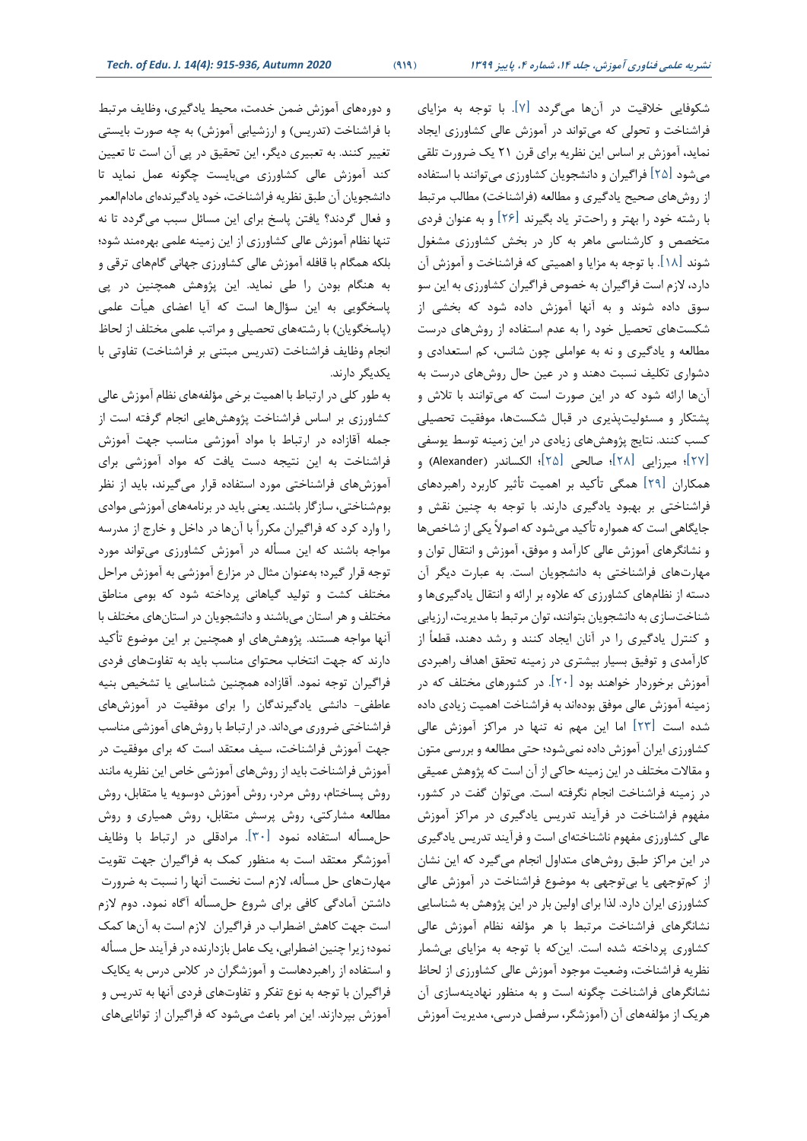شکوفایی خالقیت در آنها میگردد ]7[. با توجه به مزایای فراشناخت و تحولی که میتواند در آموزش عالی کشاورزی ایجاد نماید، آموزش بر اساس این نظریه برای قرن 21 یک ضرورت تلقی میشود ]25[ فراگیران و دانشجویان کشاورزی میتوانند با استفاده از روشهای صحیح یادگیری و مطالعه (فراشناخت) مطالب مرتبط با رشته خود را بهتر و راحتتر یاد بگیرند ]26[ و به عنوان فردی متخصص و کارشناسی ماهر به کار در بخش کشاورزی مشغول شوند ]18[. با توجه به مزایا و اهمیتی که فراشناخت و آموزش آن دارد، الزم است فراگیران به خصوص فراگیران کشاورزی به این سو سوق داده شوند و به آنها آموزش داده شود که بخشی از شکست های تحصیل خود را به عدم استفاده از روشهای درست مطالعه و یادگیری و نه به عواملی چون شانس، کم استعدادی و دشواری تکلیف نسبت دهند و در عین حال روشهای درست به آنها ارائه شود که در این صورت است که میتوانند با تالش و پشتکار و مسئولیت پذیری در قبال شکستها، موفقیت تحصیلی کسب کنند. نتایج پژوهشهای زیادی در این زمینه توسط یوسفی ]27[؛ میرزایی ]28[؛ صالحی ]25[؛ الکساندر )Alexander )و همکاران ]29[ همگی تأکید بر اهمیت تأثیر کاربرد راهبردهای فراشنا ختی بر بهبود یادگیری دارند. با توجه به چنین نقش و جایگاهی است که همواره تأکید میشود که اصوالً یکی از شاخصها و نشانگرهای آموزش عالی کارآمد و موفق، آموزش و انتقال توان و مهارتهای فراشناختی به دانشجویان است. به عبارت دیگر آن دسته از نظامهای کشاورزی که عالوه بر ارائه و انتقال یادگیریها و شناختسازی به دانشجویان بتوانند، توان مرتبط با مدیریت، ارزیابی و کنترل یادگیری را در آنان ایجاد کنند و رشد دهند، قطعاً از کارآمدی و توفیق بسیار بیشتری در زمینه تحقق اهداف راهبردی آموزش برخوردار خواهند بود ]20[. در کشورهای مختلف که در زمینه آموزش عالی موفق بوده اند به فراشناخت اهمیت زیادی داده شده است ]23[ اما این مهم نه تنها در مراکز آموزش عالی کشاورزی ایران آموزش داده نمیشود؛ حتی مطالعه و بررسی متون و مقاالت مختلف در این زمینه حاکی از آن است که پژوهش عمیقی در زمینه فراشنا خت انجام نگرفته است. میتوان گفت در کشور، مفهوم فراشناخت در فرآیند تدریس یادگیری در مراکز آموزش عالی کشاورزی مفهوم ناشناخته ای است و فرآیند تدریس یادگیری در این مراکز طبق روشهای متداول انجام میگیرد که این نشان از کمتوجهی یا بیتوجهی به موضوع فراشناخت در آموزش عالی کشاورزی ایران دارد. لذا برای اولین بار در این پژوهش به شناسایی نشانگرهای فراشناخت مرتبط با هر مؤلفه نظام آموزش عالی کشاوری پرداخته شده است. این که با توجه به مزایای بیشمار نظریه فراشناخت، وضعیت موجود آموزش عالی کشاورزی از لحاظ نشانگرهای فراشناخت چگونه است و به منظور نهادینهسازی آن هریک از مؤلفههای آن )آموزشگر، سرفصل درسی، مدیریت آموزش

و دورههای آموزش ضمن خدمت، محیط یادگیری، وظایف مرتبط با فراشناخت (تدریس) و ارزشیابی آموزش) به چه صورت بایستی تغییر کنند. به تعبیری دیگر، این تحقیق در پی آن است تا تعیین کند آموزش عالی کشاورزی میبایست چگونه عمل نماید تا دانشجویان آن طبق نظریه فراشناخت، خود یادگیرندهای مادامالعمر و فعال گردند؟ یافتن پاسخ برای این مسائل سبب میگردد تا نه تنها نظام آموزش عالی کشاورزی از این زمینه علمی بهرهمند شود؛ بلکه همگام با قافله آموزش عالی کشاورزی جهانی گامهای ترقی و به هنگام بودن را طی نماید. این پژوهش همچنین در پی پاسخگویی به این سؤالها است که آیا اعضای هیأت علمی (پاسخگویان) با رشتههای تحصیلی و مراتب علمی مختلف از لحاظ انجام وظایف فراشناخت (تدریس مبتنی بر فراشناخت) تفاوتی با یکدیگر دارند.

به طور کلی در ارتباط با اهمیت برخی مؤلفههای نظام آموزش عالی کشاورزی بر اساس فراشناخت پژوهشهایی انجام گرفته است از جمله آقازاده در ارتباط با مواد آموزشی مناسب جهت آموزش فراشناخت به این نتیجه دست یافت که مواد آموزشی برای آموزش های فراشناختی مورد استفاده قرار میگیرند، باید از نظر بومشناختی، سازگار باشند. یعنی باید در برنامههای آموزشی موادی را وارد کرد که فراگیران مکرراً با آنها در داخل و خارج از مدرسه مواجه باشند که این مسأله در آموزش کشاورزی میتواند مورد توجه قرار گیرد؛ به عنوان مثال در مزارع آموزشی به آموزش مراحل مختلف کشت و تولید گیاهانی پرداخته شود که بومی مناطق مختلف و هر استان میباشند و دانشجویان در استانهای مختلف با آنها مواجه هستند. پژوهش های او همچنین بر این موضوع تأکید دارند که جهت انتخاب محتوای مناسب باید به تفاوتهای فردی فراگیران توجه نمود. آقازاده همچنین شناسایی یا تشخیص بنیه عاطفی- دانشی یادگیرندگان را برای موفقیت در آموزشهای فراشناختی ضروری میداند. در ارتباط با روشهای آموزشی مناسب جهت آموزش فراشناخت، سیف معتقد است که برای موفقیت در آموزش فراشناخت باید از روشه ای آموزشی خاص این نظریه مانند روش پساختام، روش مردر، روش آموزش دوسویه یا متقابل، روش مطالعه مشارکتی، روش پرسش متقابل، روش همیاری و روش حل مسأله استفاده نمود ]30[. مرادقلی در ارتباط با وظایف آموزشگر معتقد است به منظور کمک به فراگیران جهت تقویت مهارتهای حل مسأله ، الزم است نخست آنها را نسبت به ضرورت داشتن آمادگی کافی برای شروع حلمسأله آگاه نمود. دوم الزم است جهت کاهش اضطراب در فراگیران الزم است به آنها کمک نمود؛ زیرا چنین اضطرابی، یک عامل بازدارنده در فرآیند حل مسأله و استفاده از راهبردهاست و آموزشگران در کالس درس به یکایک فراگیران با توجه به نوع تفکر و تفاوتهای فردی آنها به تدریس و آموزش بپردازند. این امر باعث میشود که فراگیران از تواناییهای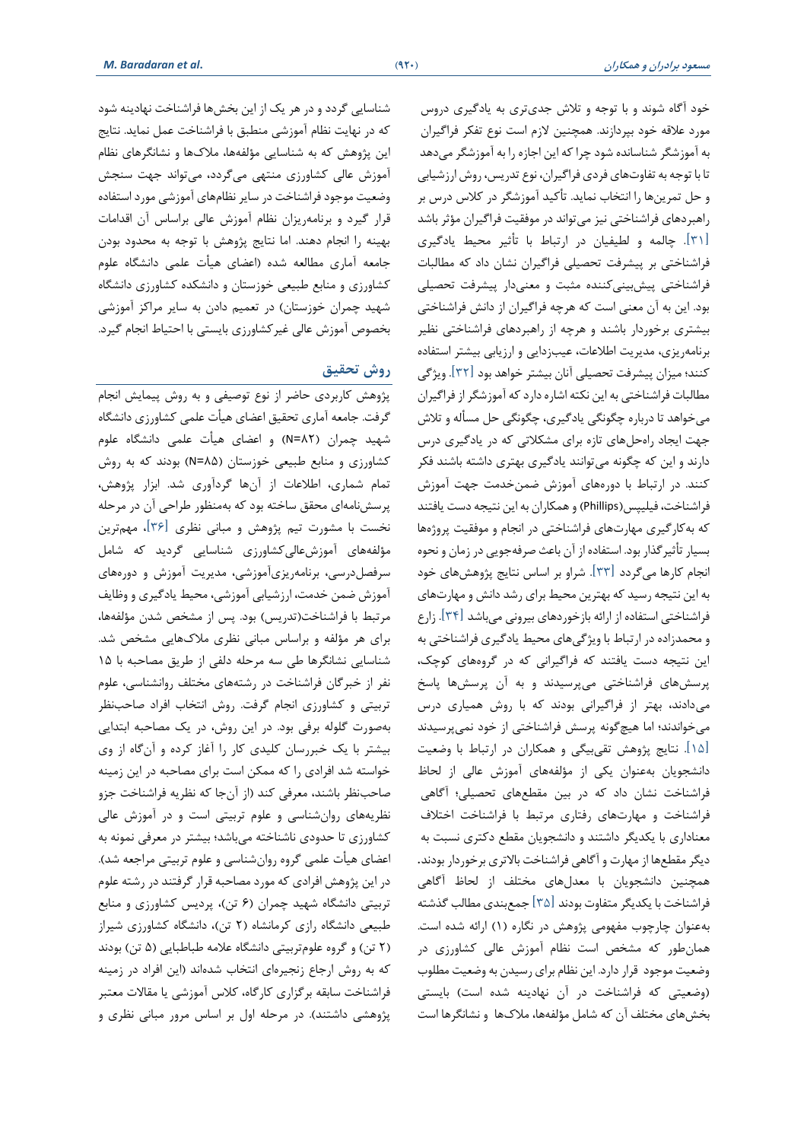خود آگاه شوند و با توجه و تالش جدیتری به یادگیری دروس مورد عالقه خود بپردازند. همچنین الزم است نوع تفکر فراگیران به آموزشگر شناسانده شود چرا که این اجازه را به آموزشگرمیدهد تا با توجه به تفاوتهای فردی فراگیران، نوع تدریس، روش ارزشیابی و حل تمرینها را انتخاب نماید. تأکید آموزشگر در کالس درس بر راهبردهای فراشناختی نیز میتواند در موفقیت فراگیران مؤثر باشد ]31[. چالمه و لطیفیان در ارتباط با تأثیر محیط یادگیری فراشناختی بر پیشرفت تحصیلی فراگیران نشان داد که مطالبات فراشناختی پیشبینی کننده مثبت و معنیدار پیشرفت تحصیلی بود. این به آن معنی است که هرچه فراگیران از دانش فراشناختی بیشتری برخوردار باشند و هرچه از راهبردهای فراشناختی نظیر برنامهریزی، مدیریت اطالعات، عیب زدایی و ارزیابی بیشتر استفاده کنند؛ میزان پیشرفت تحصیلی آنان بیشتر خواهد بود ]32[. ویژگی مطالبات فراشناختی به این نکته اشاره دارد که آموزشگر از فراگیران میخواهد تا درباره چگونگی یادگیری، چگونگی حل مسأله و تالش جهت ایجاد راه حلهای تازه برای مشکالتی که در یادگیری درس دارند و این که چگونه میتوانند یادگیری بهتری داشته باشند فکر کنند. در ارتباط با دورههای آموزش ضمنخدمت جهت آموزش فراشناخت، فیلیپس)Phillips )و همکاران به این نتیجه دست یافتند که بهکارگیری مهارتهای فراشناختی در انجام و موفقیت پروژهها بسیار تأثیرگذار بود. استفاده از آن باعث صرفهجویی در زمان و نحوه انجام کارها میگردد ]33[. شراو بر اساس نتایج پژوهشهای خود به این نتیجه رسید که بهترین محیط برای رشد دانش و مهارتهای فراشناختی استفاده از ارائه بازخوردهای بیرونی می باشد ]34[. زارع و محمدزاده در ارتباط با ویژگیهای محیط یادگیری فراشناختی به این نتیجه دست یافتند که فراگیرانی که در گروههای کوچک، پرسشهای فراشناختی میپرسیدند و به آن پرسشها پاسخ میدادند، بهتر از فراگیرانی بودند که با روش همیاری درس میخواندند؛ اما هیچگونه پرسش فراشناختی از خود نمیپرسیدند ]15[. نتایج پژوهش تقیبیگی و همکاران در ارتباط با وضعیت دانشجویان به عنوان یکی از مؤلفه های آموزش عالی از لحاظ فراشناخت نشان داد که در بین مقطعهای تحصیلی؛ آگاهی فراشناخت و مهارتهای رفتاری مرتبط با فراشناخت اختالف معناداری با یکدیگر داشتند و دانشجویان مقطع دکتری نسبت به دیگرمقطعها از مهارت و آگاهی فراشناخت باالتری برخوردار بودند. همچنین دانشجویان با معدلهای مختلف از لحاظ آگاهی فراشناخت با یکدیگر متفاوت بودند ]35[ جمعبندی مطالب گذشته بهعنوان چارچوب مفهومی پژوهش در نگاره )1( ارائه شده است. همانطور که مشخص است نظام آموزش عالی کشاورزی در وضعیت موجود قرار دارد. این نظام برای رسیدن به وضعیت مطلوب )وضعیتی که فراشناخت در آن نهادینه شده است( بایستی بخش های مختلف آن که شامل مؤلفه ها، مالکها و نشانگرها است

شناسایی گردد و در هر یک از این بخشها فراشناخت نهادینه شود که در نهایت نظام آموزشی منطبق با فراشناخت عمل نماید. نتایج این پژوهش که به شناسایی مؤلفهها، مالکها و نشانگرهای نظام آموزش عالی کشاورزی منتهی میگردد، میتواند جهت سنجش وضعیت موجود فراشناخت در سایر نظامهای آموزشی مورد استفاده قرار گیرد و برنامهریزان نظام آموزش عالی براساس آن اقدامات بهینه را انجام دهند. اما نتایج پژوهش با توجه به محدود بودن جامعه آماری مطالعه شده )اعضای هیأت علمی دانشگاه علوم کشاورزی و منابع طبیعی خوزستان و دانشکده کشاورزی دانشگاه شهید چمران خوزستان) در تعمیم دادن به سایر مراکز آموزشی بخصوص آموزش عالی غیرکشاورزی بایستی با احتیاط انجام گیرد.

### **روش تحقیق**

پژوهش کاربردی حاضر از نوع توصیفی و به روش پیمایش انجام گرفت. جامعه آماری تحقیق اعضای هیأت علمی کشاورزی دانشگاه شهید چمران )82=N )و اعضای هیأت علمی دانشگاه علوم کشاورزی و منابع طبیعی خوزستان (N=۸۵) بودند که به روش تمام شماری، اطالعات از آنها گردآوری شد. ابزار پژوهش، پرسش نامهای محقق ساخته بود که بهمنظور طر احی آن در مرحله نخست با مشورت تیم پژوهش و مبانی نظری ]36[، مهم ترین مؤلفههای آموزشعالیکشاورزی شناسایی گردید که شامل سرفصلدرسی، برنامهریزی آموزشی، مدیریت آموزش و دورههای آموزش ضمن خدمت، ارزشیابی آموزشی، محیط یادگیری و وظایف مرتبط با فراشناخت)تدریس( بود. پس از مشخص شدن مؤلفهها، برای هر مؤلفه و براساس مبانی نظری مالکهایی مشخص شد. شناسایی نشانگرها طی سه مرحله دلفی از طریق مصاحبه با 15 نفر از خبرگان فراشناخت در رشته های مختلف روانشناسی، علوم تربیتی و کشاورزی انجام گرفت. روش انتخاب افراد صاحب نظر بهصورت گلوله برفی بود. در این روش، در یک مصاحبه ابتدایی بیشتر با یک خبررسان کلیدی کار را آغاز کرده و آن گاه از وی خواسته شد افرادی را که ممکن است برای مصاحبه در این زمینه صاحبنظر باشند، معرفی کند )از آن جا که نظریه فراشناخت جزو نظریه های روان شناسی و علوم تربیتی است و در آموزش عالی کشاورزی تا حدودی ناشناخته میباشد؛ بیشتر در معرفی نمونه به اعضای هیأت علمی گروه روانشناسی و علوم تربیتی مراجعه شد(. در این پژوهش افرادی که مورد مصاحبه قرار گرفتند در رشته علوم تربیتی دانشگاه شهید چمران (۶ تن)، پردیس کشاورزی و منابع طبیعی دانشگاه رازی کرمانشاه (۲ تن)، دانشگاه کشاورزی شیراز (۲ تن) و گروه علومتربیتی دانشگاه علامه طباطبایی (۵ تن) بودند که به روش ارجاع زنجیرهای انتخاب شدهاند (این افراد در زمینه فراشناخت سابقه برگزاری کارگاه، کالس آموزشی یا مقاالت معتبر پژوهشی داشتند). در مرحله اول بر اساس مرور مبانی نظری و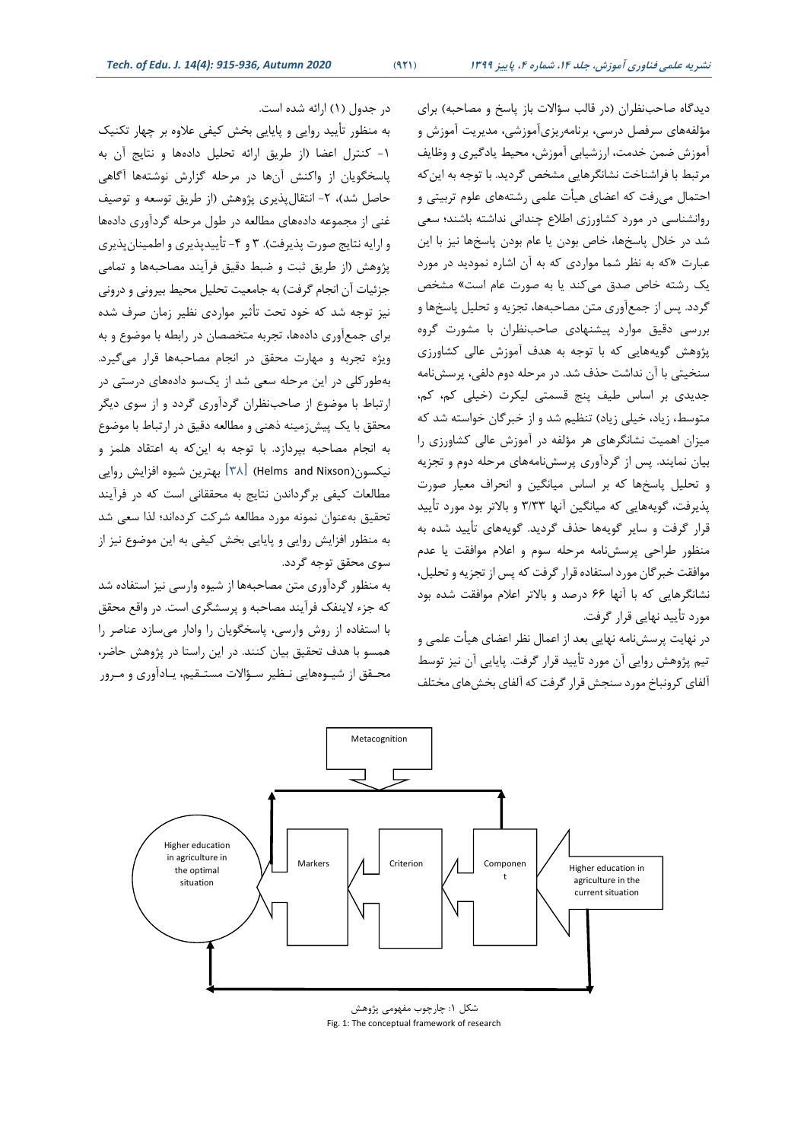دیدگاه صاحبنظران (در قالب سؤالات باز پاسخ و مصاحبه) برای مؤلفههای سرفصل درسی، برنامه ریزی آموزشی، مدیریت آموزش و آموزش ضمن خدمت، ارزشیابی آموزش، محیط یادگیری و وظایف مرتبط با فراشناخت نشانگرهایی مشخص گردید. با توجه به اینکه احتمال میرفت که اعضای هیأت علمی رشتههای علوم تربیتی و روانشناسی در مورد کشاورزی اطالع چندانی نداشته باشند؛ سعی شد در خالل پاسخها، خاص بودن یا عام بودن پاسخها نیز با این عبارت »که به نظر شما مواردی که به آن اشاره نمودید در مورد یک رشته خاص صدق میکند یا به صورت عام است» مشخص گردد. پس از جمعآوری متن مصاحبه ها، تجزیه و تحلیل پاسخها و بررسی دقیق موارد پیشنهادی صاحبنظران با مشورت گروه پژوهش گویههایی که با توجه به هدف آموزش عالی کشاورزی سنخیتی با آن نداشت حذف شد. در مرحله دوم دلفی، پر سش نامه جدیدی بر اساس طیف پنج قسمتی لیکرت (خیلی کم، کم، متوسط، زیاد، خیلی زیاد) تنظیم شد و از خبرگان خواسته شد که میزان اهمیت نشانگرهای هر مؤلفه در آموزش عالی کشاورزی را بیان نمایند. پس از گردآوری پرسش نامههای مرحله دوم و تجزیه و تحلیل پاسخها که بر اساس میانگین و انحراف معیار صورت پذیرفت، گویههایی که میانگین آنها 3/33 و باالتر بود مورد تأیید قرار گرفت و سایر گویهها حذف گردید. گویههای تأیید شده به منظور طراحی پرسش نامه مرحله سوم و اعالم موافقت یا عدم موافقت خبرگان مورد استفاده قرار گرفت که پس از تجزیه و تحلیل، نشانگرهایی که با آنها 66 درصد و باالتر اعالم موافقت شده بود مورد تأیید نهایی قرار گرفت.

در نهایت پرسشنامه نهایی بعد از اعمال نظر اعضای هیأت علمی و تیم پژوهش روایی آن مورد تأیید قرار گرفت. پایایی آن نیز توسط آلفای کرونباخ مورد سنجش قرار گرفت که آلفای بخشهای مختلف

در جدول )1( ارائه شده است.

به منظور تأیید روایی و پایایی بخش کیفی عالوه بر چهار تکنیک -1 کنترل اعضا )از طریق ارائه تحلیل دادهها و نتایج آن به پاسخگویان از واکنش آنها در مرحله گزارش نوشتهها آگاهی حاصل شد)، ۲- انتقال پذیری پژوهش (از طریق توسعه و توصیف غنی از مجموعه دادههای مطالعه در طول مرحله گردآوری دادهها و ارایه نتایج صورت پذیرفت(. 3 و -4 تأییدپذیری و اطمینانپذیری پژوهش (از طریق ثبت و ضبط دقیق فرآیند مصاحبهها و تمامی جزئیات آن انجام گرفت) به جامعیت تحلیل محیط بیرونی و درونی نیز توجه شد که خود تحت تأثیر مواردی نظیر زمان صرف شده برای جمعآوری دادهها، تجربه متخصصان در رابطه با موضوع و به ویژه تجربه و مهارت محقق در انجام مصاحبهها قرار میگیرد. بهطورکلی در این مرحله سعی شد از یکسو داده های درستی در ارتباط با موضوع از صاحبنظران گردآوری گردد و از سوی دیگر محقق با یک پیشزمینه ذهنی و مطالعه دقیق در ارتباط با موضوع به انجام مصاحبه بپردازد. با توجه به اینکه به اعتقاد هلمز و نیکسون) Nixson and Helms[ )38 ]بهترین شیوه افزایش روایی مطالعات کیفی برگرداندن نتایج به محققانی است که در فرآیند تحقیق بهعنوان نمونه مورد مطالعه شرکت کردهاند؛ لذا سعی شد به منظور افزایش روایی و پایایی بخش کیفی به این موضوع نیز از سوی محقق توجه گردد.

به منظور گردآوری متن مصاحبهها از شیوه وارسی نیز استفاده شد که جزء الینفک فرآیند مصاحبه و پرسشگری است. در واقع محقق با استفاده از روش وارسی، پاسخگویان را وادار میسازد عناصر را همسو با هدف تحقیق بیان کنند. در این راستا در پژوهش حاضر، محـقق از شیـ وههایی نـظیر سـ ؤاالت مستـقیم، یـادآوری و مـ رور



شکل ۱: چارچوب مفهومی پژوهش Fig. 1: The conceptual framework of research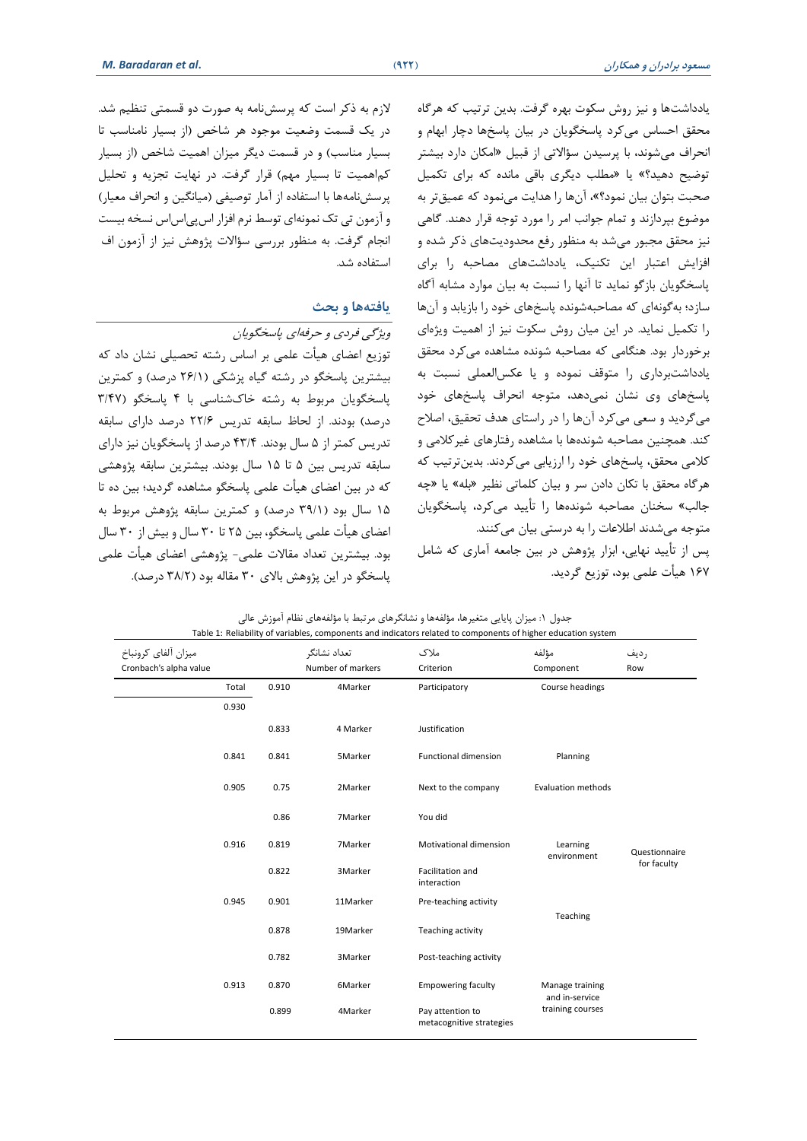یادداشتها و نیز روش سکوت بهره گرفت. بدین ترتیب که هرگاه محقق احساس میکرد پاسخگویان در بیان پاسخها دچار ابهام و انحراف میشوند، با پرسیدن سؤاالتی از قبیل »امکان دارد بیشتر توضیح دهید؟« یا »مطلب دیگری باقی مانده که برای تکمیل صحبت بتوان بیان نمود؟«، آنها را هدایت مینمود که عمیقتر به موضوع بپردازند و تمام جوانب امر را مورد توجه قرار دهند. گاهی نیز محقق مجبور میشد به منظور رفع محدودیتهای ذکر شده و افزایش اعتبار این تکنیک، یادداشتهای مصاحبه را برای پاسخگویان بازگو نماید تا آنها را نسبت به بیان موارد مشابه آگاه سازد؛ به گونهای که مصاحبهشونده پاسخهای خود را بازیابد و آنها را تکمیل نماید. در این میان روش سکوت نیز از اهمیت ویژهای برخوردار بود. هنگامی که مصاحبه شونده مشاهده میکرد محقق یادداشت برداری را متوقف نموده و یا عکسالعملی نسبت به پاسخ های وی نشان نمیدهد، متوجه انحراف پاسخهای خود میگردید و سعی میکرد آنها را در راستای هدف تحقیق، اصالح کند. همچنین مصاحبه شوندهها با مشاهده رفتارهای غیرکلامی و کالمی محقق، پاسخهای خود را ارزیابی میکردند. بدینترتیب که هرگاه محقق با تکان دادن سر و بیان کلماتی نظیر »بله« یا »چه جالب« سخنان مصاحبه شوندهها را تأیید میکرد، پاسخگویان متوجه می شدند اطلاعات را به درستی بیان می کنند. پس از تأیید نهایی، ابزار پژوهش در بین جامعه آماری که شامل 167 هیأت علمی بود، توزیع گردید.

الزم به ذکر است که پرسش نامه به صورت دو قسمتی تنظیم شد. در یک قسمت وضعیت موجود هر شاخص )از بسیار نامناسب تا بسیار مناسب) و در قسمت دیگر میزان اهمیت شاخص (از بسیار کماهمیت تا بسیار مهم) قرار گرفت. در نهایت تجزیه و تحلیل پرسش نامهها با استفاده از آمار توصیفی (میانگین و انحراف معیار) و آزمون تی تک نمونهای توسط نرم افزار اسپی اس اس نسخه بیست انجام گرفت. به منظور بررسی سؤاالت پژوهش نیز از آزمون اف استفاده شد.

#### **یافتهها و بحث**

ویژگی فردی و حرفهای پاسخگویان

توزیع اعضای هیأت علمی بر اساس رشته تحصیلی نشان داد که بیشترین پاسخگو در رشته گیاه پزشکی )26/1 درصد( و کمترین پاسخگویان مربوط به رشته خاک شناسی با 4 پاسخگو )/47 3 درصد) بودند. از لحاظ سابقه تدریس ۲۲/۶ درصد دارای سابقه تدریس کمتر از 5 سال بودند. 43/4 درصد از پاسخگویان نیز دارای سابقه تدریس بین 5 تا 15 سال بودند. بیشترین سابقه پژوهشی که در بین اعضای هیأت علمی پاسخگو مشاهده گردید؛ بین ده تا 15 سال بود )39/1 درصد( و کمترین سابقه پژوهش مربوط به اعضای هیأت علمی پاسخگو، بین 25 تا 30 سال و بیش از 30 سال بود. بیشترین تعداد مقاالت علمی- پژوهشی اعضای هیأت علمی پاسخگو در این پژوهش بالای ۳۰ مقاله بود (۳۸/۲ درصد).

| جدول ١: میزان پایایی متغیرها، مؤلفهها و نشانگرهای مرتبط با مؤلفههای نظام اموزش عالی<br>Table 1: Reliability of variables, components and indicators related to components of higher education system |       |                                   |                                              |                                   |               |  |
|------------------------------------------------------------------------------------------------------------------------------------------------------------------------------------------------------|-------|-----------------------------------|----------------------------------------------|-----------------------------------|---------------|--|
| ميزان آلفاي كرونباخ<br>Cronbach's alpha value                                                                                                                                                        |       | تعداد نشانگر<br>Number of markers | ملاک<br>Criterion                            | مؤلفه<br>Component                | رديف<br>Row   |  |
| Total                                                                                                                                                                                                | 0.910 | 4Marker                           | Participatory                                | Course headings                   |               |  |
| 0.930                                                                                                                                                                                                |       |                                   |                                              |                                   |               |  |
|                                                                                                                                                                                                      | 0.833 | 4 Marker                          | Justification                                |                                   |               |  |
| 0.841                                                                                                                                                                                                | 0.841 | 5Marker                           | <b>Functional dimension</b>                  | Planning                          |               |  |
| 0.905                                                                                                                                                                                                | 0.75  | 2Marker                           | Next to the company                          | <b>Evaluation methods</b>         |               |  |
|                                                                                                                                                                                                      | 0.86  | 7Marker                           | You did                                      |                                   |               |  |
| 0.916                                                                                                                                                                                                | 0.819 | 7Marker                           | Motivational dimension                       | Learning<br>environment           | Questionnaire |  |
|                                                                                                                                                                                                      | 0.822 | 3Marker                           | Facilitation and<br>interaction              |                                   | for faculty   |  |
| 0.945                                                                                                                                                                                                | 0.901 | 11Marker                          | Pre-teaching activity                        | Teaching                          |               |  |
|                                                                                                                                                                                                      | 0.878 | 19Marker                          | Teaching activity                            |                                   |               |  |
|                                                                                                                                                                                                      | 0.782 | 3Marker                           | Post-teaching activity                       |                                   |               |  |
| 0.913                                                                                                                                                                                                | 0.870 | 6Marker                           | <b>Empowering faculty</b>                    | Manage training<br>and in-service |               |  |
|                                                                                                                                                                                                      | 0.899 | 4Marker                           | Pay attention to<br>metacognitive strategies | training courses                  |               |  |

جدول :1 میزان پایایی متغیرها، مؤلفهها و نشانگرهای مرتبط با مؤلفههای نظام آموزش عالی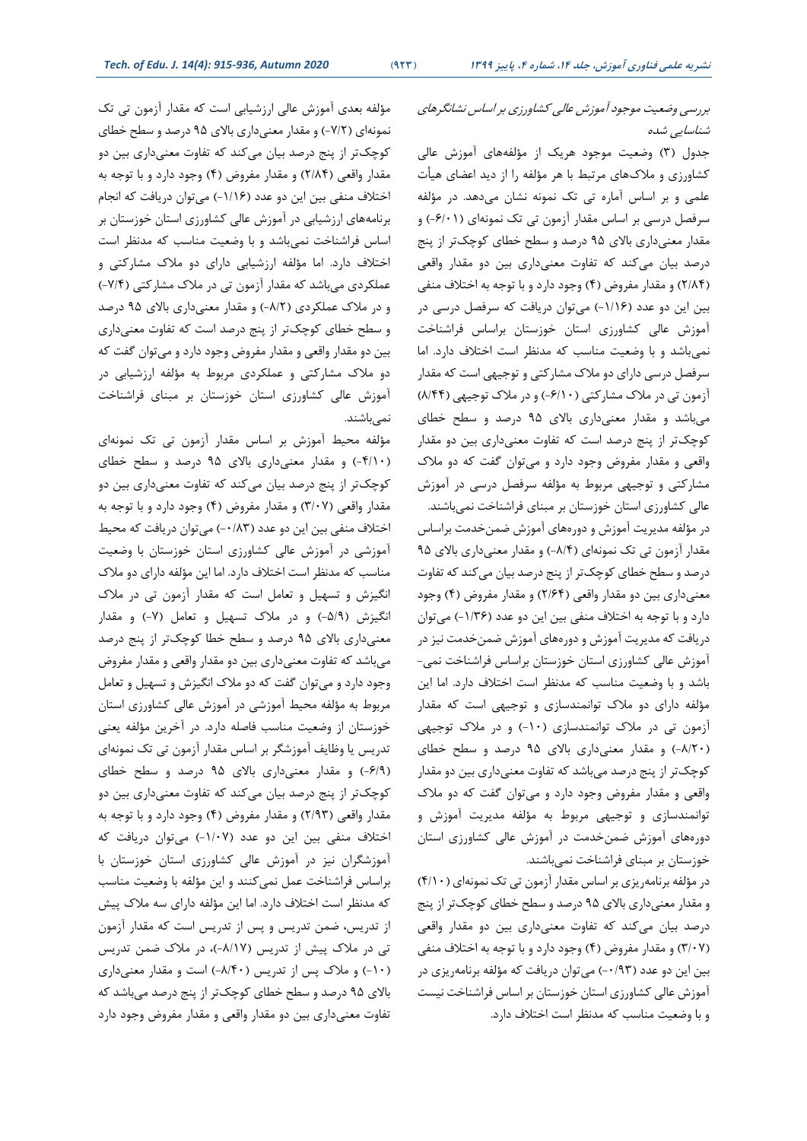### بررسی وضعیت موجود آموزش عالی کشاورزی بر اساس نشانگرهای شناسایی شده

جدول )3( وضعیت موجود هریک از مؤلفههای آموزش عالی کشاورزی و مالکهای مرتبط با هر مؤلفه را از دید اعضای هیأت علمی و بر اساس آماره تی تک نمونه نشان میدهد. در مؤلفه سرفصل درسی بر اساس مقدار آزمون تی تک نمونهای (۶/۰۱-) و مقدار معنیداری باالی 95 درصد و سطح خطای کوچکتر از پنج درصد بیان میکند که تفاوت معنیداری بین دو مقدار واقعی )2/84( و مقدار مفروض )4( وجود دارد و با توجه به اختالف منفی بین این دو عدد )-1/16( میتوان دریافت که سرفصل درسی در آموزش عالی کشاورزی استان خوزستان براساس فراشناخت نمیباشد و با وضعیت مناسب که مدنظر است اختالف دارد. اما سرفصل درسی دارای دو مالک مشارکتی و توجیهی است که مقدار آزمون تی در ملاک مشارکتی (۶/۱۰-) و در ملاک توجیهی (۸/۴۴) میباشد و مقدار معنیداری ب االی 95 درصد و سطح خطای کوچکتر از پنج درصد است که تفاوت معنیداری بین دو مقدار واقعی و مقدار مفروض وجود دارد و میتوان گفت که دو مالک مشارکتی و توجیهی مربوط به مؤلفه سرفصل درسی در آموزش عالی کشاورزی استان خوزستان بر مبنای فراشناخت نمیباشند. در مؤلفه مدیریت آموزش و دورههای آموزش ضمنخدمت براساس مقدار آزمون تی تک نمونهای (۸/۴-) و مقدار معنیداری بالای ۹۵ درصد و سطح خطای کوچکتر از پنج درصد بیان میکند که تفاوت معنیداری بین دو مقدار واقعی (۲/۶۴) و مقدار مفروض (۴) وجود دارد و با توجه به اختالف منفی بین این دو عدد )-1/36( میتوان دریافت که مدیریت آموزش و دورههای آموزش ضمن خدمت نیز در آموزش عالی کشاورزی استان خوزستان براساس فراشناخت نمی- باشد و با وضعیت مناسب که مدنظر است اختالف دارد. اما این مؤلفه دارای دو مالک توانمندسازی و توجیهی است که مقدار آزمون تی در مالک توانمندسازی )-10( و در مالک توجیهی )-8/20( و مقدار معنیداری باالی 95 درصد و سطح خطای کوچکتر از پنج درصد میباشد که تفاوت معنیداری بین دو مقدار واقعی و مقدار مفروض وجود دارد و میتوان گفت که دو مالک توانمندسازی و توجیهی مربوط به مؤلفه مدیریت آموزش و دوره های آموزش ضمن خدمت در آموزش عالی کشاورزی استان خوزستان بر مبنای فراشناخت نمیباشند.

در مؤلفه برنامهریزی بر اساس مقدار آزمون تی تک نمونهای )4/10( و مقدار معنیداری باالی 95 درصد و سطح خطای کوچکتر از پنج درصد بیان میکند که تفاوت معنیداری بین دو مقدار واقعی )3/07( و مقدار مفروض )4( وجود دارد و با توجه به اختالف منفی بین این دو عدد )-0/93( می توان دریافت که مؤلفه برنامهریزی در آموزش عالی کشاورزی استان خوزستان بر اساس فراشناخت نیست و با وضعیت مناسب که مدنظر است اختالف دارد.

مؤلفه بعدی آموزش عالی ارزشیابی است که مقدار آزمون تی تک نمونهای )-7/2( و مقدار معنیداری باالی 95 درصد و سطح خطای کوچکتر از پنج درصد بیان میکند که تفاوت معنیداری بین دو مقدار واقعی (۲/۸۴) و مقدار مفروض (۴) وجود دارد و با توجه به اختالف منفی بین این دو عدد )/16 -1( میتوان دریافت که انجام برنامههای ارزشیابی در آموزش عالی کشاورزی استان خوزستان بر اساس فراشناخت نمیباشد و با وضعیت مناسب که مدنظر است اختالف دارد. اما مؤلفه ارزشیابی دارای دو مالک مشارکتی و عملکردی میباشد که مقدار آزمون تی در مالک مشارکتی )-7/4( و در مالک عملکردی )-8/2( و مقدار معنیداری باالی 95 درصد و سطح خطای کوچکتر از پنج درصد است که تفاوت معنیداری بین دو مقدار واقعی و مقدار مفروض وجود دارد و میتوان گفت که دو مالک مشارکتی و عملکردی مربوط به مؤلفه ارزشیابی در آموزش عالی کشاورزی استان خوزستان بر مبنای فراشناخت نمی باشند.

مؤلفه محیط آموزش بر اساس مقدار آزمون تی تک نمونهای )-4/10( و مقدار معنیداری باالی 95 درصد و سطح خطای کوچکتر از پنج درصد بیان میکند که تفاوت معنیداری بین دو مقدار واقعی )3/07( و مقدار مفروض )4( وجود دارد و با توجه به اختالف منفی بین این دو عدد )-0/83( میتوان دریافت که محیط آموزشی در آموزش عالی کشاورزی استان خوزستان با وضعیت مناسب که مدنظر است اختالف دارد. اما این مؤلفه دارای دو مالک انگیزش و تسهیل و تعامل است که مقدار آزمون تی در مالک انگیزش (۵/۹-) و در ملاک تسهیل و تعامل (۷-) و مقدار معنیداری باالی 95 درصد و سطح خطا کوچکتر از پنج درصد میباشد که تفاوت معنیداری بین دو مقدار واقعی و مقدار مفروض وجود دارد و میتوان گفت که دو مالک انگیزش و تسهیل و تعامل مربوط به مؤلفه محیط آموزشی در آموزش عالی کشاورزی استان خوزستان از وضعیت مناسب فاصله دارد. در آخرین مؤلفه یعنی تدریس یا وظایف آموزشگر بر اساس مقدار آزمون تی تک نمونهای )-6/9( و مقدار معنیداری باالی 95 درصد و سطح خطای کوچک تر از پنج درصد بیان میکند که تفاوت معنیداری بین دو مقدار واقعی )2/93( و مقدار مفروض )4( وجود دارد و با توجه به اختالف منفی بین این دو عدد ) -1/07( میتوان دریافت که آموزشگران نیز در آموزش عالی کشاورزی استان خوزستان با براساس فراشناخت عمل نمیکنند و این مؤلفه با وضعیت مناسب که مدنظر است اختالف دارد. اما این مؤلفه دارای سه مالک پیش از تدریس، ضمن تدریس و پس از تدریس است که مقدار آزمون تی در ملاک پیش از تدریس (۸/۱۷-)، در ملاک ضمن تدریس )-10( و مالک پس از تدریس )/40 -8( است و مقدار معنیداری باالی 95 درصد و سطح خطای کوچکتر از پنج درصد میباشد که تفاوت معنیداری بین دو مقدار واقعی و مقدار مفروض وجود دارد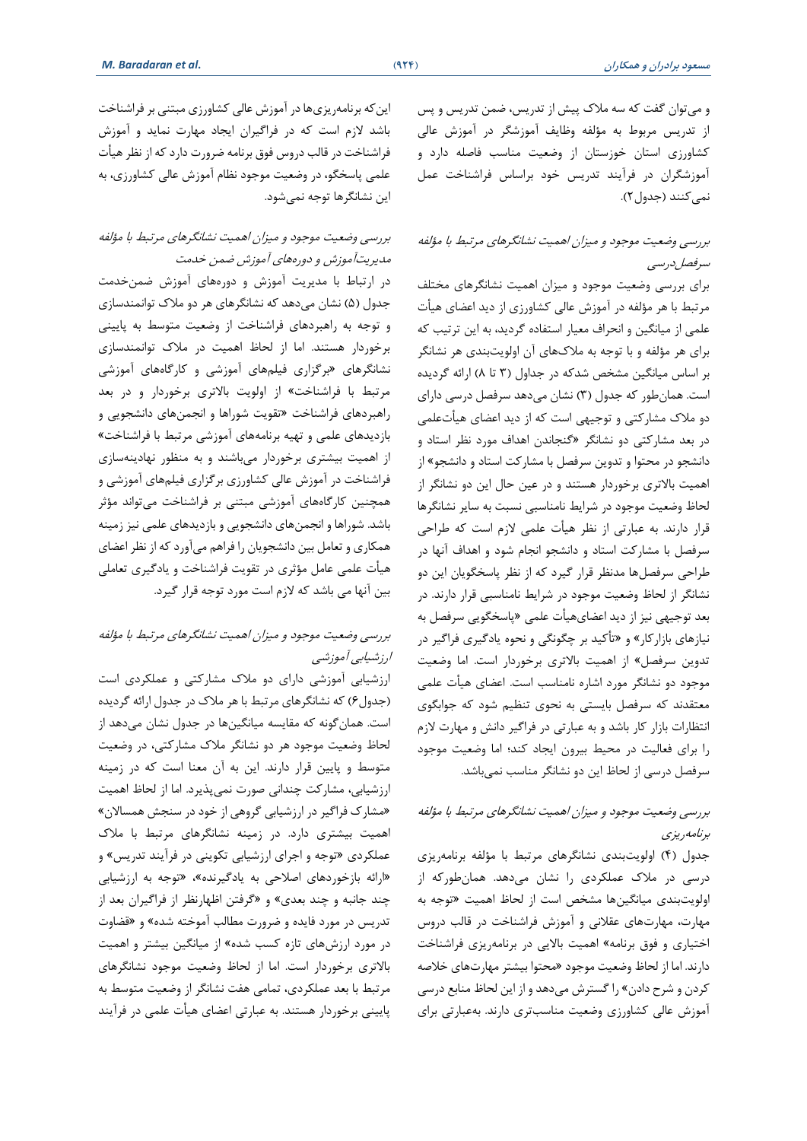و میتوان گفت که سه مالک پیش از تدریس، ضمن تدریس و پس از تدریس مربوط به مؤلفه وظایف آموزشگر در آموزش عالی کشاورزی استان خوزستان از وضعیت مناسب فاصله دارد و آموزشگران در فرآیند تدریس خود براساس فراشناخت عمل نمی کنند (جدول ۲).

### بررسی وضعیت موجود و میزان اهمیت نشانگرهای مرتبط با مؤلفه سرفصلدرسی

برای بررسی وضعیت موجود و میزان اهمیت نشانگرهای مختلف مرتبط با هر مؤلفه در آموزش عالی کشاورزی از دید اعضای هیأت علمی از میانگین و انحراف معیار استفاده گردید، به این ترتیب که برای هر مؤلفه و با توجه به مالکهای آن اولویتبندی هر نشانگر بر اساس میانگین مشخص شدکه در جداول )3 تا 8( ارائه گردیده است. همانطور که جدول )3( نشان میدهد سرفصل درسی دارای دو مالک مشارکتی و توجیهی است که از دید اعضای هیأتعلمی در بعد مشارکتی دو نشانگر »گنجاندن اهداف مورد نظر استاد و دانشجو در محتوا و تدوین سرفصل با مشارکت استاد و دانشجو« از اهمیت باالتری برخوردار هستند و در عین حال این دو نشانگر از لحاظ وضعیت موجود در شرایط نامناسبی نسبت به سایر نشانگرها قرار دارند. به عبارتی از نظر هیأت علمی الزم است که طراحی سرفصل با مشارکت استاد و دانشجو انجام شود و اهداف آنها در طراحی سرفصلها مدنظر قرار گیرد که از نظر پاسخگویان این دو نشانگر از لحاظ وضعیت موجود در شرایط نامناسبی قرار دارند. در بعد توجیهی نیز از دید اعضایهیأت علمی »پاسخگویی سرفصل به نیازهای بازارکار« و »تأکید بر چگونگی و نحوه یادگیری فراگیر در تدوین سرفصل« از اهمیت باالتری برخوردار است. اما وضعیت موجود دو نشانگر مورد اشاره نامناسب است. اعضای هیأت علمی معتقدند که سرفصل بایستی به نحوی تنظیم شود که جوابگوی انتظارات بازار کار باشد و به عبارتی در فراگیر دانش و مهارت الزم را برای فعالیت در محیط بیرون ایجاد کند؛ اما وضعیت موجود سرفصل درسی از لحاظ این دو نشانگر مناسب نمیباشد.

### بررسی وضعیت موجود و میزان اهمیت نشانگرهای مرتبط با مؤلفه برنامهریزی

جدول (۴) اولویتبندی نشانگرهای مرتبط با مؤلفه برنامهریزی درسی در مالک عملکردی را نشان میدهد. همانطورکه از اولویت بندی میانگینها مشخص است از لحاظ اهمیت »توجه به مهارت، مهارتهای عقالنی و آموزش فراشناخت در قالب دروس اختیاری و فوق برنامه« اهمیت باالیی در برنامهریزی فراشناخت دارند. اما از لحاظ وضعیت موجود »محتوا بیشتر مهارتهای خالصه کردن و شرح دادن« را گسترش میدهد و از این لحاظ منابع درسی آموزش عالی کشاورزی وضعیت مناسبتری دارند.به عبارتی برای

اینکه برنامهریزیها در آموزش عالی کشاورزی مبتنی بر فراشناخت باشد الزم است که در فراگیران ایجاد مهارت نماید و آموزش فراشناخت در قالب دروس فوق برنامه ضرورت دارد که از نظر هیأت علمی پاسخگو، در وضعیت موجود نظام آموزش عالی کشاورزی، به این نشانگرها توجه نمیشود.

### بررسی وضعیت موجود و میزان اهمیت نشانگرهای مرتبط با مؤلفه مدیریتآموزش و دورههای آموزش ضمن خدمت

در ارتباط با مدیریت آموزش و دورههای آموزش ضمن خدمت جدول (۵) نشان میدهد که نشانگرهای هر دو ملاک توانمندسازی و توجه به راهبردهای فراشناخت از وضعیت متوسط به پایینی برخوردار هستند. اما از لحاظ اهمیت در مالک توانمندسازی نشانگرهای »برگزاری فیلمهای آموزشی و کارگاههای آموزشی مرتبط با فراشناخت« از اولویت باالتری برخوردار و در بعد راهبردهای فراشناخت »تقویت شوراها و انجمنهای دانشجویی و بازدیدهای علمی و تهیه برنامههای آموزشی مرتبط با فراشناخت« از اهمیت بیشتری برخوردار میباشند و به منظور نهادینهسازی فراشناخت در آموزش عالی کشاورزی برگزاری فیلمهای آموزشی و همچنین کارگاههای آموزشی مبتنی بر فراشناخت میتواند مؤثر باشد. شوراها و انجمنهای دانشجویی و بازدیدهای علمی نیز زمینه همکاری و تعامل بین دانشجویان را فراهم میآورد که از نظر اعضای هیأت علمی عامل مؤثری در تقویت فراشناخت و یادگیری تعاملی بین آنها می باشد که الزم است مورد توجه قرار گیرد.

### بررسی وضعیت موجود و میزان اهمیت نشانگرهای مرتبط با مؤلفه ارزشیابی آموزشی

ارزشیابی آموزشی دارای دو مالک مشارکتی و عملکردی است )جدول 6( که نشانگرهای مرتبط با هر مالک در جدول ارائه گردیده است. همانگونه که مقایسه میانگین ها در جدول نشان میدهد از لحاظ وضعیت موجود هر دو نشانگر مالک مشارکتی، در وضعیت متوسط و پایین قرار دارند. این به آن معنا است که در زمینه ارزشیابی، مشارکت چندانی صورت نمیپذیرد. اما از لحاظ اهمیت »مشارک فراگیر در ارزشیابی گروهی از خود در سنجش همساالن« اهمیت بیشتری دارد. در زمینه نشانگرهای مرتبط با مالک عملکردی »توجه و اجرای ارزشیابی تکوینی در فرآیند تدریس« و »ارائه بازخوردهای اصالحی به یادگیرنده«، »توجه به ارزشیابی چند جانبه و چند بعدی« و »گرفتن اظهارنظر از فراگیران بعد از تدریس در مورد فایده و ضرورت مطالب آموخته شده« و »قضاوت در مورد ارزشهای تازه کسب شده« از میانگین بیشتر و اهمیت باالتری برخوردار است. اما از لحاظ وضعیت موجود نشانگرهای مرتبط با بعد عملکردی، تمامی هفت نشانگر از وضعیت متوسط به پایینی برخوردار هستند. به عبارتی اعضای هیأت علمی در فرآیند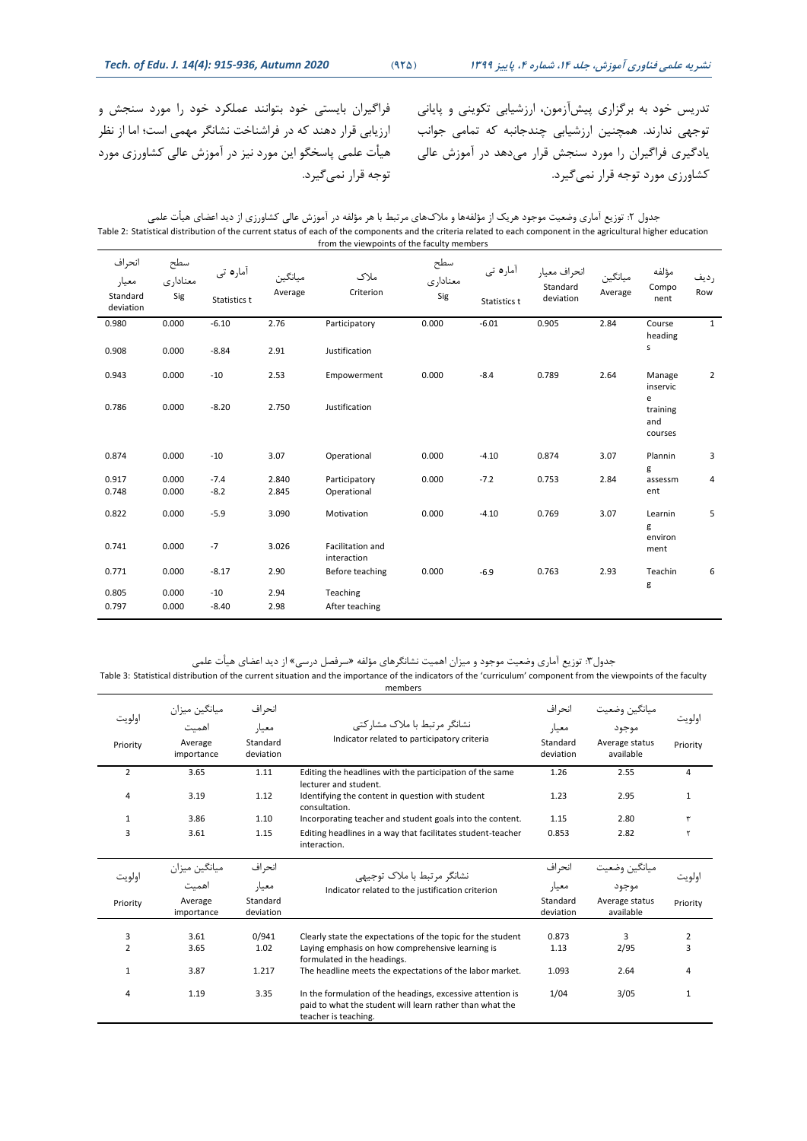فراگیران بایستی خود بتوانند عملکرد خود را مورد سنجش و ارزیابی قرار دهند که در فراشناخت نشانگر مهمی است؛ اما از نظر هیأت علمی پاسخگو این مورد نیز در آموزش عالی کشاورزی مورد

تدریس خود به برگزاری پیش آزمون، ارزشیابی تکوینی و پایانی توجهی ندارند. همچنین ارزشیابی چندجانبه که تمامی جوانب یادگیری فراگیران را مورد سنجش قرار میدهد در آموزش عالی کشاورزی مورد توجه قرار نمیگیرد.

جدول ۲: توزیع آماری وضعیت موجود هریک از مؤلفهها و ملاکهای مرتبط با هر مؤلفه در آموزش عالی کشاورزی از دید اعضای هیأت علمی Table 2: Statistical distribution of the current status of each of the components and the criteria related to each component in the agricultural higher education

from the viewpoints of the faculty members

توجه قرار نمی گیرد.

| انحراف<br>معيار<br>Standard<br>deviation | سطح<br>معنادارى<br>Sig | آمارہ تی<br>Statistics t | ميانگين<br>Average | ملاک<br>Criterion                      | سطح<br>معناداري<br>Sig | آمارہ تی<br>Statistics t | انحراف معيار<br>Standard<br>deviation | ميانگين<br>Average | مؤلفه<br>Compo<br>nent                      | رديف<br>Row    |
|------------------------------------------|------------------------|--------------------------|--------------------|----------------------------------------|------------------------|--------------------------|---------------------------------------|--------------------|---------------------------------------------|----------------|
| 0.980                                    | 0.000                  | $-6.10$                  | 2.76               | Participatory                          | 0.000                  | $-6.01$                  | 0.905                                 | 2.84               | Course                                      | $\mathbf{1}$   |
| 0.908                                    | 0.000                  | $-8.84$                  | 2.91               | Justification                          |                        |                          |                                       |                    | heading<br>s                                |                |
| 0.943                                    | 0.000                  | $-10$                    | 2.53               | Empowerment                            | 0.000                  | $-8.4$                   | 0.789                                 | 2.64               | Manage                                      | $\overline{2}$ |
| 0.786                                    | 0.000                  | $-8.20$                  | 2.750              | Justification                          |                        |                          |                                       |                    | inservic<br>e<br>training<br>and<br>courses |                |
| 0.874                                    | 0.000                  | $-10$                    | 3.07               | Operational                            | 0.000                  | $-4.10$                  | 0.874                                 | 3.07               | Plannin<br>g                                | 3              |
| 0.917                                    | 0.000                  | $-7.4$                   | 2.840              | Participatory                          | 0.000                  | $-7.2$                   | 0.753                                 | 2.84               | assessm                                     | 4              |
| 0.748                                    | 0.000                  | $-8.2$                   | 2.845              | Operational                            |                        |                          |                                       |                    | ent                                         |                |
| 0.822                                    | 0.000                  | $-5.9$                   | 3.090              | Motivation                             | 0.000                  | $-4.10$                  | 0.769                                 | 3.07               | Learnin<br>g                                | 5              |
| 0.741                                    | 0.000                  | $-7$                     | 3.026              | <b>Facilitation and</b><br>interaction |                        |                          |                                       |                    | environ<br>ment                             |                |
| 0.771                                    | 0.000                  | $-8.17$                  | 2.90               | Before teaching                        | 0.000                  | $-6.9$                   | 0.763                                 | 2.93               | Teachin                                     | 6              |
| 0.805<br>0.797                           | 0.000<br>0.000         | $-10$<br>$-8.40$         | 2.94<br>2.98       | Teaching<br>After teaching             |                        |                          |                                       |                    | g                                           |                |

جدول:3 توزیع آماری وضعیت موجود و میزان اهمیت نشانگرهای مؤلفه »سرفصل درسی« از دید اعضای هیأت علمی

Table 3: Statistical distribution of the current situation and the importance of the indicators of the 'curriculum' component from the viewpoints of the faculty members

| اولويت<br>Priority | ميانگين ميزان<br>أهميت<br>Average<br>importance | انحر اف<br>معيار<br>Standard<br>deviation | نشانگر مرتبط با ملاک مشارکتی<br>Indicator related to participatory criteria                                                                    | انحر اف<br>معيار<br>Standard<br>deviation | ميانكين وضعيت<br>موجود<br>Average status<br>available | اولويت<br>Priority |
|--------------------|-------------------------------------------------|-------------------------------------------|------------------------------------------------------------------------------------------------------------------------------------------------|-------------------------------------------|-------------------------------------------------------|--------------------|
| $\overline{2}$     | 3.65                                            | 1.11                                      | Editing the headlines with the participation of the same<br>lecturer and student.                                                              | 1.26                                      | 2.55                                                  | 4                  |
| 4                  | 3.19                                            | 1.12                                      | Identifying the content in question with student<br>consultation.                                                                              | 1.23                                      | 2.95                                                  | $\mathbf{1}$       |
| 1                  | 3.86                                            | 1.10                                      | Incorporating teacher and student goals into the content.                                                                                      | 1.15                                      | 2.80                                                  |                    |
| 3                  | 3.61                                            | 1.15                                      | Editing headlines in a way that facilitates student-teacher<br>interaction.                                                                    | 0.853                                     | 2.82                                                  |                    |
| اولويت             | ميانگين ميزان                                   | انحر اف                                   | نشانگر مرتبط با ملاک توجیهی                                                                                                                    | انحراف                                    | ميانگين وضعيت                                         | اولويت             |
|                    | اهمت                                            | معيار                                     | Indicator related to the justification criterion                                                                                               | معيار                                     | موجود                                                 |                    |
| Priority           | Average<br>importance                           | Standard<br>deviation                     |                                                                                                                                                | Standard<br>deviation                     | Average status<br>available                           | Priority           |
| 3                  | 3.61                                            | 0/941                                     | Clearly state the expectations of the topic for the student                                                                                    | 0.873                                     | 3                                                     | 2                  |
| $\overline{2}$     | 3.65                                            | 1.02                                      | Laying emphasis on how comprehensive learning is<br>formulated in the headings.                                                                | 1.13                                      | 2/95                                                  | 3                  |
| $\mathbf{1}$       | 3.87                                            | 1.217                                     | The headline meets the expectations of the labor market.                                                                                       | 1.093                                     | 2.64                                                  | 4                  |
| 4                  | 1.19                                            | 3.35                                      | In the formulation of the headings, excessive attention is<br>paid to what the student will learn rather than what the<br>teacher is teaching. | 1/04                                      | 3/05                                                  | 1                  |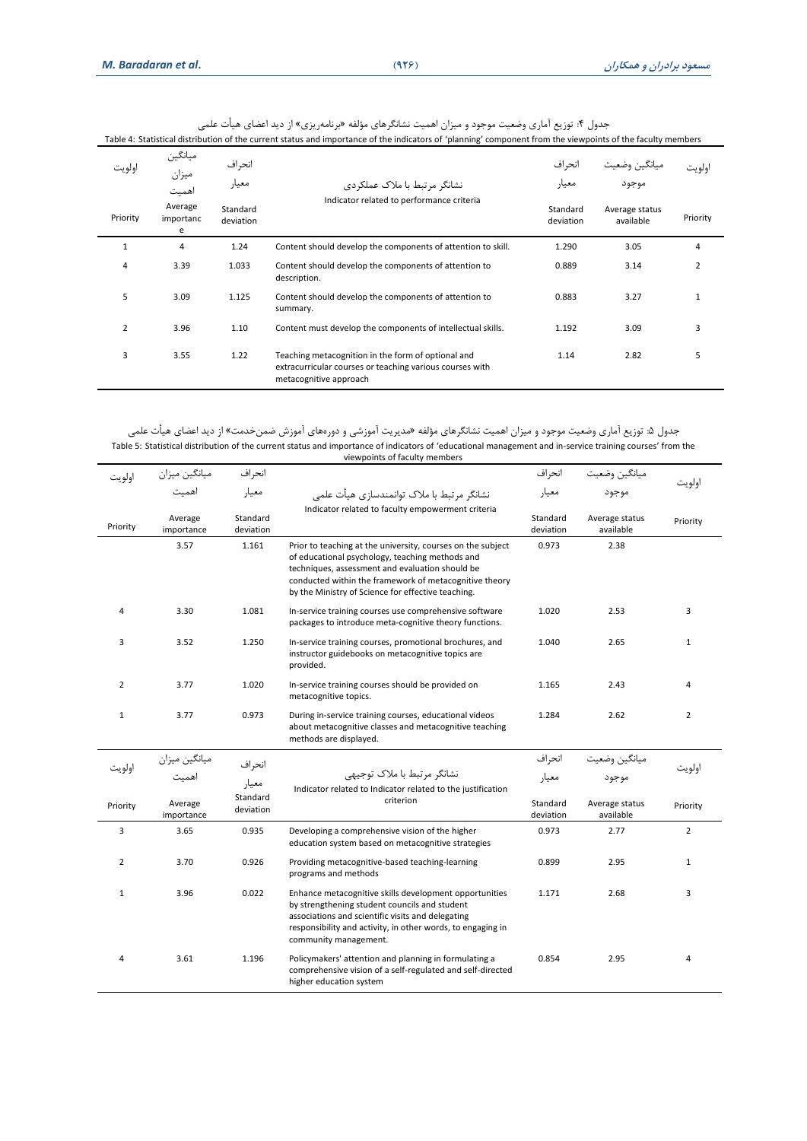جدول ۴: توزیع اماری وضعیت موجود و میزان اهمیت نشانگرهای مؤلفه «برنامهریزی» از دید اعضای هیات علمی

|                | Table 4: Statistical distribution of the current status and importance of the indicators of 'planning' component from the viewpoints of the faculty members |                       |                                                                                                                                          |                       |                             |                |  |  |  |
|----------------|-------------------------------------------------------------------------------------------------------------------------------------------------------------|-----------------------|------------------------------------------------------------------------------------------------------------------------------------------|-----------------------|-----------------------------|----------------|--|--|--|
| اولويت         | ميانگين<br>ميزان<br>اهميت                                                                                                                                   | انحر اف<br>معيار      | نشانگر مرتبط با ملاک عملکردی                                                                                                             | انحراف<br>معيار       | ميانگين وض<br>موجود         | اولويت         |  |  |  |
| Priority       | Average<br>importanc<br>e                                                                                                                                   | Standard<br>deviation | Indicator related to performance criteria                                                                                                | Standard<br>deviation | Average status<br>available | Priority       |  |  |  |
| $\mathbf{1}$   | 4                                                                                                                                                           | 1.24                  | Content should develop the components of attention to skill.                                                                             | 1.290                 | 3.05                        | $\overline{4}$ |  |  |  |
| 4              | 3.39                                                                                                                                                        | 1.033                 | Content should develop the components of attention to<br>description.                                                                    | 0.889                 | 3.14                        | $\overline{2}$ |  |  |  |
| 5              | 3.09                                                                                                                                                        | 1.125                 | Content should develop the components of attention to<br>summary.                                                                        | 0.883                 | 3.27                        | $\mathbf{1}$   |  |  |  |
| $\overline{2}$ | 3.96                                                                                                                                                        | 1.10                  | Content must develop the components of intellectual skills.                                                                              | 1.192                 | 3.09                        | 3              |  |  |  |
| 3              | 3.55                                                                                                                                                        | 1.22                  | Teaching metacognition in the form of optional and<br>extracurricular courses or teaching various courses with<br>metacognitive approach | 1.14                  | 2.82                        | 5              |  |  |  |

جدول ۵: توزیع آماری وضعیت موجود و میزان اهمیت نشانگرهای مؤلفه «مدیریت آموزشی و دورههای آموزش ضمن خدمت» از دید اعضای هیأت علمی Table 5: Statistical distribution of the current status and importance of indicators of 'educational management and in-service training courses' from the viewpoints of faculty members

| اولويت         | ميانگين ميزان         | انحراف                |                                                                                                                                                                                                                                                                                   | انحر اف               | ميانگين وضعيت               |                |
|----------------|-----------------------|-----------------------|-----------------------------------------------------------------------------------------------------------------------------------------------------------------------------------------------------------------------------------------------------------------------------------|-----------------------|-----------------------------|----------------|
|                | اهمت                  | معيار                 | نشانگر مرتبط با ملاک توانمندسازی هیأت علمی                                                                                                                                                                                                                                        | معيار                 | موجود                       | اولويت         |
| Priority       | Average<br>importance | Standard<br>deviation | Indicator related to faculty empowerment criteria                                                                                                                                                                                                                                 | Standard<br>deviation | Average status<br>available | Priority       |
|                | 3.57                  | 1.161                 | Prior to teaching at the university, courses on the subject<br>of educational psychology, teaching methods and<br>techniques, assessment and evaluation should be<br>conducted within the framework of metacognitive theory<br>by the Ministry of Science for effective teaching. | 0.973                 | 2.38                        |                |
| 4              | 3.30                  | 1.081                 | In-service training courses use comprehensive software<br>packages to introduce meta-cognitive theory functions.                                                                                                                                                                  | 1.020                 | 2.53                        | 3              |
| 3              | 3.52                  | 1.250                 | In-service training courses, promotional brochures, and<br>instructor guidebooks on metacognitive topics are<br>provided.                                                                                                                                                         | 1.040                 | 2.65                        | $\mathbf{1}$   |
| 2              | 3.77                  | 1.020                 | In-service training courses should be provided on<br>metacognitive topics.                                                                                                                                                                                                        | 1.165                 | 2.43                        | 4              |
| $\mathbf{1}$   | 3.77                  | 0.973                 | During in-service training courses, educational videos<br>about metacognitive classes and metacognitive teaching<br>methods are displayed.                                                                                                                                        | 1.284                 | 2.62                        | $\overline{2}$ |
|                | ميانگين ميزان         | انحراف                |                                                                                                                                                                                                                                                                                   | انحر اف               | ميانگين وضعيت               |                |
| اولويت         | اهميت                 | معيار                 | نشانگر مرتبط با ملاک توجیهی<br>Indicator related to Indicator related to the justification                                                                                                                                                                                        | معيار                 | موجود                       | اولويت         |
| Priority       | Average<br>importance | Standard<br>deviation | criterion                                                                                                                                                                                                                                                                         | Standard<br>deviation | Average status<br>available | Priority       |
| 3              | 3.65                  | 0.935                 | Developing a comprehensive vision of the higher<br>education system based on metacognitive strategies                                                                                                                                                                             | 0.973                 | 2.77                        | $\overline{2}$ |
| $\overline{2}$ | 3.70                  | 0.926                 | Providing metacognitive-based teaching-learning<br>programs and methods                                                                                                                                                                                                           | 0.899                 | 2.95                        | $\mathbf{1}$   |
| $\mathbf{1}$   | 3.96                  | 0.022                 | Enhance metacognitive skills development opportunities<br>by strengthening student councils and student<br>associations and scientific visits and delegating<br>responsibility and activity, in other words, to engaging in<br>community management.                              | 1.171                 | 2.68                        | 3              |
| $\overline{4}$ | 3.61                  | 1.196                 | Policymakers' attention and planning in formulating a<br>comprehensive vision of a self-regulated and self-directed<br>higher education system                                                                                                                                    | 0.854                 | 2.95                        | 4              |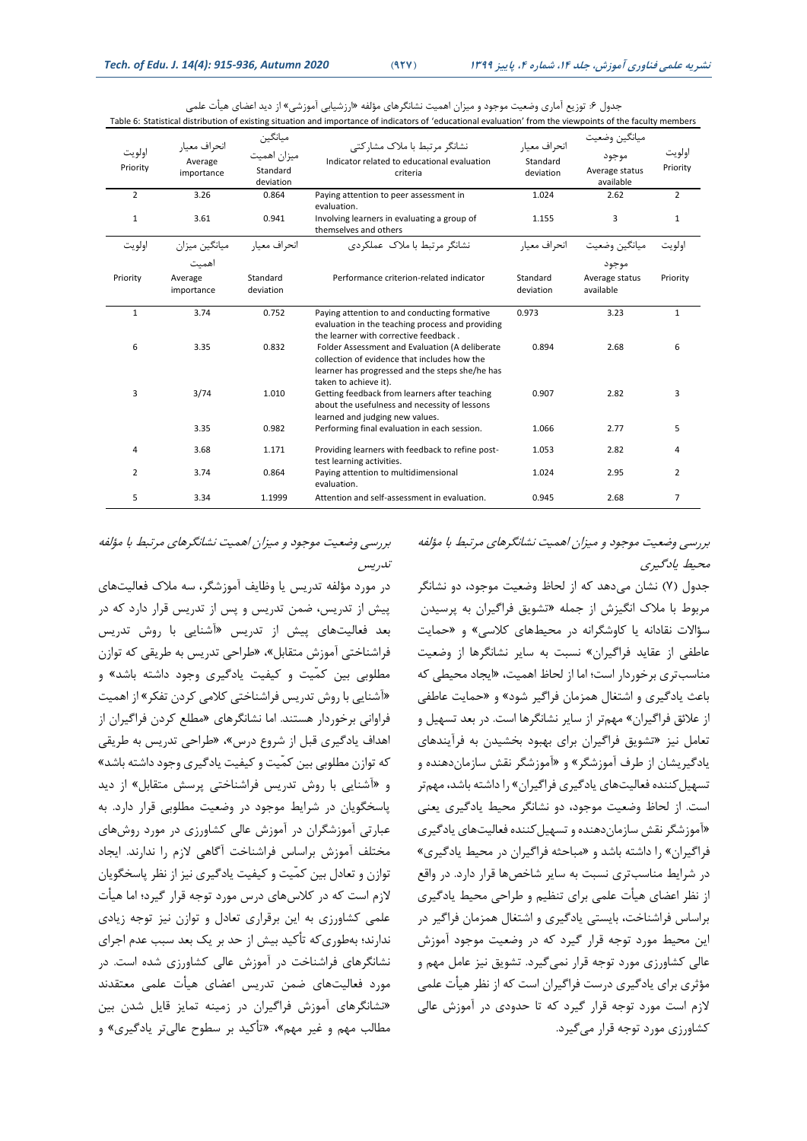| اولويت<br>Priority | انحراف معيار<br>Average<br>importance | ميانگين<br>ميزان اهميت<br>Standard<br>deviation | نشانگر مرتبط با ملاک مشارکتی<br>Indicator related to educational evaluation<br>criteria                                                                                                                                                        | انحراف معبار<br>Standard<br>deviation | ميانگين وضعيت<br>موجود<br>Average status<br>available | اولويت<br>Priority |
|--------------------|---------------------------------------|-------------------------------------------------|------------------------------------------------------------------------------------------------------------------------------------------------------------------------------------------------------------------------------------------------|---------------------------------------|-------------------------------------------------------|--------------------|
| $\overline{2}$     | 3.26                                  | 0.864                                           | Paying attention to peer assessment in<br>evaluation.                                                                                                                                                                                          | 1.024                                 | 2.62                                                  | $\overline{2}$     |
| $\mathbf{1}$       | 3.61                                  | 0.941                                           | Involving learners in evaluating a group of<br>themselves and others                                                                                                                                                                           | 1.155                                 | 3                                                     | $\mathbf{1}$       |
| اولويت             | میانگین میزان                         | انحراف معبار                                    | نشانگر مرتبط با ملاک عملکردی                                                                                                                                                                                                                   | انحراف معيار                          | ميانگين وضعيت                                         | اولويت             |
|                    | اهمت                                  |                                                 |                                                                                                                                                                                                                                                |                                       | موجود                                                 |                    |
| Priority           | Average<br>importance                 | Standard<br>deviation                           | Performance criterion-related indicator                                                                                                                                                                                                        | Standard<br>deviation                 | Average status<br>available                           | Priority           |
| $\mathbf{1}$       | 3.74                                  | 0.752                                           | Paying attention to and conducting formative                                                                                                                                                                                                   | 0.973                                 | 3.23                                                  | $\mathbf{1}$       |
| 6                  | 3.35                                  | 0.832                                           | evaluation in the teaching process and providing<br>the learner with corrective feedback.<br>Folder Assessment and Evaluation (A deliberate<br>collection of evidence that includes how the<br>learner has progressed and the steps she/he has | 0.894                                 | 2.68                                                  | 6                  |
| 3                  | 3/74                                  | 1.010                                           | taken to achieve it).<br>Getting feedback from learners after teaching<br>about the usefulness and necessity of lessons<br>learned and judging new values.                                                                                     | 0.907                                 | 2.82                                                  | 3                  |
|                    | 3.35                                  | 0.982                                           | Performing final evaluation in each session.                                                                                                                                                                                                   | 1.066                                 | 2.77                                                  | 5                  |
| 4                  | 3.68                                  | 1.171                                           | Providing learners with feedback to refine post-<br>test learning activities.                                                                                                                                                                  | 1.053                                 | 2.82                                                  | 4                  |
| $\overline{2}$     | 3.74                                  | 0.864                                           | Paying attention to multidimensional<br>evaluation.                                                                                                                                                                                            | 1.024                                 | 2.95                                                  | $\overline{2}$     |
| 5                  | 3.34                                  | 1.1999                                          | Attention and self-assessment in evaluation.                                                                                                                                                                                                   | 0.945                                 | 2.68                                                  | $\overline{7}$     |

جدول ۶: توزیع آماری وضعیت موجود و میزان اهمیت نشانگرهای مؤلفه «ارزشیابی آموزشی» از دید اعضای هیأت علمی Table 6: Statistical distribution of existing situation and importance of indicators of 'educational evaluation' from the viewpoints of the faculty members

بررسی وضعیت موجود و میزان اهمیت نشانگرهای مرتبط با مؤلفه تدریس

در مورد مؤلفه تدریس یا وظایف آموزشگر، سه مالک فعالیتهای پیش از تدریس، ضمن تدریس و پس از تدریس قرار دارد که در بعد فعالیتهای پیش از تدریس »آشنایی با روش تدریس فراشناختی آموزش متقابل«، »طراحی تدریس به طریقی که توازن مطلوبی بین کمّیت و کیفیت یادگیری وجود داشته باشد« و »آشنایی با روش تدریس فراشناختی کالمی کردن تفکر« از اهمیت فراوانی برخوردار هستند. اما نشانگرهای »مطلع کردن فراگیران از اهداف یادگیری قبل از شروع درس«، »طراحی تدریس به طریقی که توازن مطلوبی بین کمّیت و کیفیت یادگیری وجود داشته باشد« و »آشنایی با روش تدریس فراشناختی پرسش متقابل« از دید پاسخگویان در شرایط موجود در وضعیت مطلوبی قرار دارد. به عبارتی آموزشگران در آموزش عالی کشاورزی در مورد روشهای مختلف آموزش براساس فراشناخت آگاهی الزم را ندارند. ایجاد توازن و تعادل بین کمّیت و کیفیت یادگیری نیز از نظر پاسخگویان الزم است که در کالسهای درس مورد توجه قرار گیرد؛ اما هیأت علمی کشاورزی به این برقراری تعادل و توازن نیز توجه زیادی ندارند؛ به طوریکه تأکید بیش از حد بر یک بعد سبب عدم اجرای نشانگرهای فراشناخت در آموزش عالی کشاورزی شده است. در مورد فعالیتهای ضمن تدریس اعضای هیأت علمی معتقدند »نشانگرهای آموزش فراگیران در زمینه تمایز قایل شدن بین مطالب مهم و غیر مهم«، »تأکید بر سطوح عالیتر یادگیری« و

بررسی وضعیت موجود و میزان اهمیت نشانگرهای مرتبط با مؤلفه محیط یادگیری

جدول (۷) نشان میدهد که از لحاظ وضعیت موجود، دو نشانگر مربوط با مالک انگیزش از جمله »تشویق فراگیران به پرسیدن سؤالات نقادانه یا کاوشگرانه در محیطهای کلاسی» و «حمایت عاطفی از عقاید فراگیران« نسبت به سایر نشانگرها از وضعیت مناسبتری برخوردار است؛ اما از لحاظ اهمیت، »ایجاد محیطی که باعث یادگیری و اشتغال همزمان فراگیر شود« و »حمایت عاطفی از عالئق فراگیران« مهم تر از سایر نشانگرها است. در بعد تسهیل و تعامل نیز »تشویق فراگیران برای بهبود بخشیدن به فرآیندهای یادگیریشان از طرف آموزشگر« و »آموزشگر نقش سازماندهنده و تسهیل کننده فعالیتهای یادگیری فراگیران» را داشته باشد، مهمتر است. از لحاظ وضعیت موجود، دو نشانگر محیط یادگیری یعنی »آموزشگر نقش سازمان دهنده و تسهیلکننده فعالیتهای یادگیری فراگیران» را داشته باشد و «مباحثه فراگیران در محیط یادگیری» در شرایط مناسبتری نسبت به سایر شاخصها قرار دارد. در واقع از نظر اعضای هیأت علمی برای تنظیم و طراحی محیط یادگیری براساس فراشناخت، بایستی یادگیری و اشتغال همزمان فراگیر در این محیط مورد توجه قرار گیرد که در وضعیت موجود آموزش عالی کشاورزی مورد توجه قرار نمیگیرد. تشویق نیز عامل مهم و مؤثری برای یادگیری درست فراگیران است که از نظر هیأت علمی الزم است مورد توجه قرار گیرد که تا حدودی در آموزش عالی کشاورزی مورد توجه قرار میگیرد.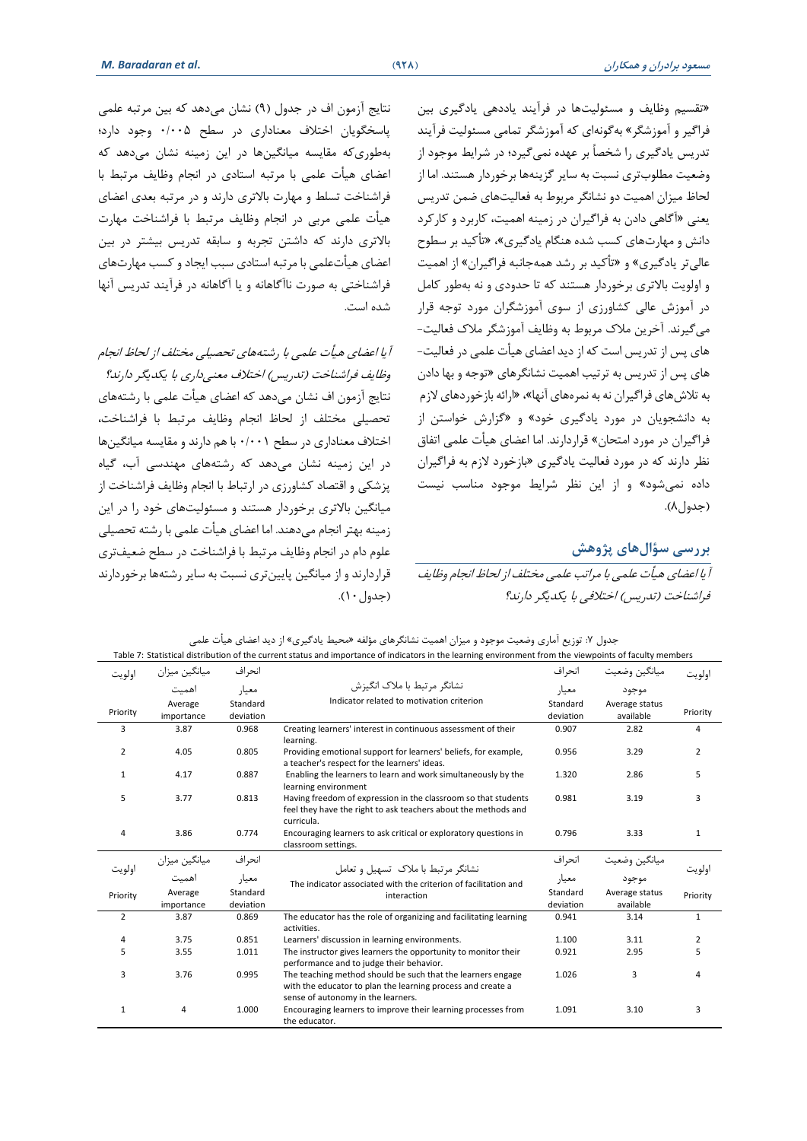»تقسیم وظایف و مسئولیتها در فرآیند یاددهی یادگیری بین فراگیر و آموزشگر« بهگونهای که آموزشگر تمامی مسئولیت فرآیند تدریس یادگیری را شخصاً بر عهده نمیگیرد؛ در شرایط موجود از وضعیت مطلوبتری نسبت به سایر گزینهها برخوردار هستند. اما از لحاظ میزان اهمیت دو نشانگر مربوط به فعالیتهای ضمن تدریس یعنی »آگاهی دادن به فراگیران در زمینه اهمیت، کاربرد و کارکرد دانش و مهارتهای کسب شده هنگام یادگیری«، »تأکید بر سطوح عالیتر یادگیری« و »تأکید بر رشد همهجانبه فراگیران« از اهمیت و اولویت باالتری برخوردار هستند که تا حدودی و نه بهطور کامل در آموزش عالی کشاورزی از سوی آموزشگران مورد توجه قرار میگیرند. آخرین مالک مربوط به وظایف آموزشگر مالک فعالیت- های پس از تدریس است که از دید اعضای هیأت علمی در فعالیت- های پس از تدریس به ترتیب اهمیت نشانگرهای »توجه و بها دادن به تالشهای فراگیران نه به نمرههای آنها«، »ارائه بازخوردهای الزم به دانشجویان در مورد یادگیری خود« و »گزارش خواستن از فراگیران در مورد امتحان« قراردارند. اما اعضای هیأت علمی اتفاق نظر دارند که در مورد فعالیت یادگیری »بازخورد الزم به فراگیران داده نمی شود« و از این نظر شرایط موجود مناسب نیست (جدول۸).

**بررسی سؤالهای پژوهش**  آیا اعضای هیأت علمی با مراتب علمی مختلف از لحاظ انجام وظایف فراشناخت )تدریس( اختالفی با یکدیگر دارند؟

نتایج آزمون اف در جدول )9( نشان میدهد که بین مرتبه علمی پاسخگویان اختالف معناداری در سطح 0/005 وجود دارد؛ بهطوریکه مقایسه میانگینها در این زمینه نشان میدهد که اعضای هیأت علمی با مرتبه استادی در انجام وظایف مرتبط با فراشناخت تسلط و مهارت باالتری دارند و در مرتبه بعدی اعضای هیأت علمی مربی در انجام وظایف مرتبط با فراشناخت مهارت باالتری دارند که داشتن تجربه و سابقه تدریس بیشتر در بین اعضای هیأتعلمی با مرتبه استادی سبب ایجاد و کسب مهارتهای فراشناختی به صورت ناآگاهانه و یا آگاهانه در فرآیند تدریس آنها شده است.

آیا اعضای هیأت علمی با رشتههای تحصیلی مختلف از لحاظ انجام وظایف فراشناخت (تدریس) اختلاف معنیداری با یکدیگر دارند؟ نتایج آزمون اف نشان میدهد که اعضای هیأت علمی با رشتههای تحصیلی مختلف از لحاظ انجام وظایف مرتبط با فراشناخت، اختالف معناداری در سطح 0/001 با هم دارند و مقایسه میانگینها در این زمینه نشان میدهد که رشتههای مهندسی آب، گیاه پزشکی و اقتصاد کشاورزی در ارتباط با انجام وظایف فراشناخت از میانگین بالاتری برخوردار هستند و مسئولیتهای خود را در این زمینه بهتر انجام میدهند. اما اعضای هیأت علمی با رشته تحصیلی علوم دام در انجام وظایف مرتبط با فراشناخت در سطح ضعیفتری قراردارند و از میانگین پایینتری نسبت به سایر رشتهها برخوردارند (جدول ١٠).

جدول ۷: توزیع آماری وضعیت موجود و میزان اهمیت نشانگرهای مؤلفه «محیط یادگیری» از دید اعضای هیأت علمی Table 7: Statistical distribution of the current status and importance of indicators in the learning environment from the viewpoints of faculty members

| اولويت         | ميانگين ميزان         | انحر اف               |                                                                                                                                                                  | انحر اف               |                             | اولويت         |
|----------------|-----------------------|-----------------------|------------------------------------------------------------------------------------------------------------------------------------------------------------------|-----------------------|-----------------------------|----------------|
|                | اهمت                  | معيا,                 | نشانگر مرتبط یا ملاک انگیزش                                                                                                                                      | معيار                 | موجود                       |                |
| Priority       | Average<br>importance | Standard<br>deviation | Indicator related to motivation criterion                                                                                                                        | Standard<br>deviation | Average status<br>available | Priority       |
| 3              | 3.87                  | 0.968                 | Creating learners' interest in continuous assessment of their<br>learning.                                                                                       | 0.907                 | 2.82                        | 4              |
| $\overline{2}$ | 4.05                  | 0.805                 | Providing emotional support for learners' beliefs, for example,<br>a teacher's respect for the learners' ideas.                                                  | 0.956                 | 3.29                        | $\overline{2}$ |
| 1              | 4.17                  | 0.887                 | Enabling the learners to learn and work simultaneously by the<br>learning environment                                                                            | 1.320                 | 2.86                        | 5              |
| 5              | 3.77                  | 0.813                 | Having freedom of expression in the classroom so that students<br>feel they have the right to ask teachers about the methods and                                 | 0.981                 | 3.19                        | 3              |
| 4              | 3.86                  | 0.774                 | curricula.<br>Encouraging learners to ask critical or exploratory questions in<br>classroom settings.                                                            | 0.796                 | 3.33                        | 1              |
| اولويت         | میانگین میزان         | انحراف                | نشانگر مرتبط با ملاک تسهیل و تعامل                                                                                                                               | انحر اف               | ميانكين وضعيت               | اولويت         |
|                | اهميت                 | معيار                 | The indicator associated with the criterion of facilitation and                                                                                                  | معيار                 | موجود                       |                |
| Priority       | Average<br>importance | Standard<br>deviation | interaction                                                                                                                                                      | Standard<br>deviation | Average status<br>available | Priority       |
| 2              | 3.87                  | 0.869                 | The educator has the role of organizing and facilitating learning<br>activities.                                                                                 | 0.941                 | 3.14                        | $\mathbf{1}$   |
| 4              | 3.75                  | 0.851                 | Learners' discussion in learning environments.                                                                                                                   | 1.100                 | 3.11                        | 2              |
| 5              | 3.55                  | 1.011                 | The instructor gives learners the opportunity to monitor their<br>performance and to judge their behavior.                                                       | 0.921                 | 2.95                        | 5              |
| 3              | 3.76                  | 0.995                 | The teaching method should be such that the learners engage<br>with the educator to plan the learning process and create a<br>sense of autonomy in the learners. | 1.026                 | 3                           | 4              |
| $\mathbf{1}$   | $\overline{4}$        | 1.000                 | Encouraging learners to improve their learning processes from<br>the educator.                                                                                   | 1.091                 | 3.10                        | 3              |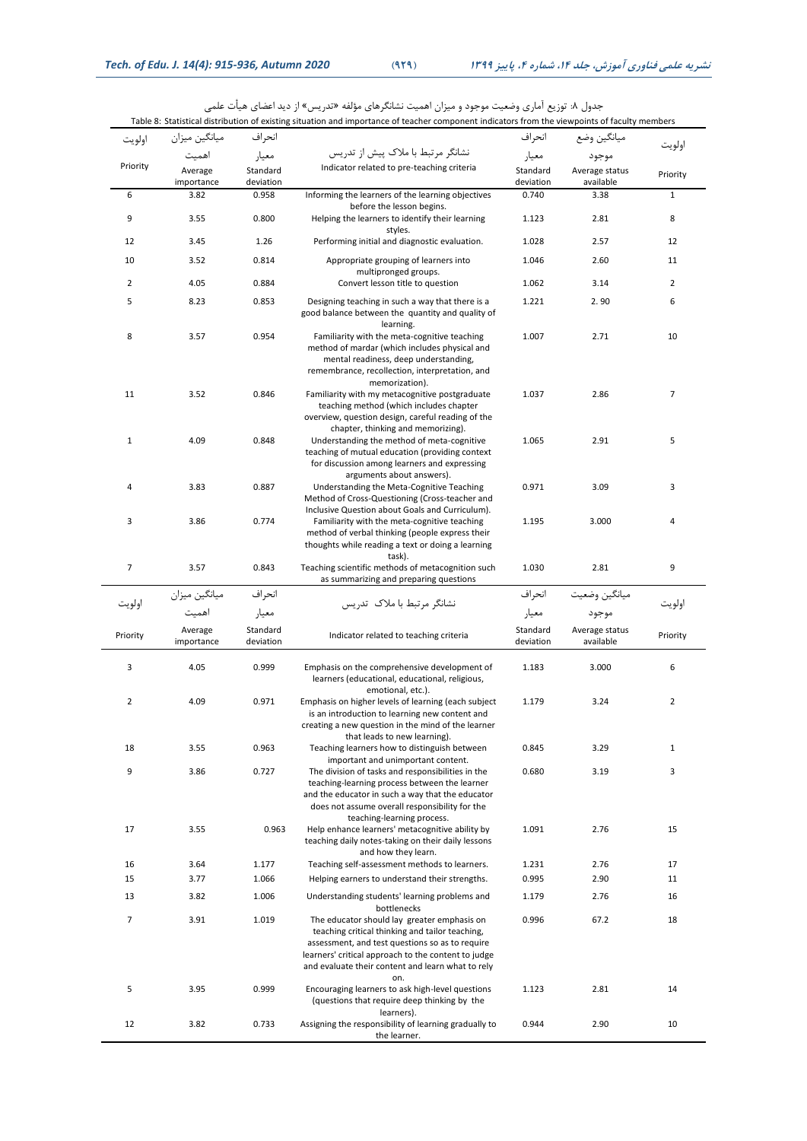|                |                       |                       | Table 8: Statistical distribution of existing situation and importance of teacher component indicators from the viewpoints of faculty members                                                                                                                        |                       |                             |                |
|----------------|-----------------------|-----------------------|----------------------------------------------------------------------------------------------------------------------------------------------------------------------------------------------------------------------------------------------------------------------|-----------------------|-----------------------------|----------------|
| اولويت         | ميانگين ميزان         | انحر اف               |                                                                                                                                                                                                                                                                      | انحراف                | ميانگين وضع                 | اولويت         |
|                | اهميت                 | معيار                 | نشانگر مرتبط با ملاک پیش از تدریس                                                                                                                                                                                                                                    | معيار                 | موجود                       |                |
| Priority       | Average<br>importance | Standard<br>deviation | Indicator related to pre-teaching criteria                                                                                                                                                                                                                           | Standard<br>deviation | Average status<br>available | Priority       |
| 6              | 3.82                  | 0.958                 | Informing the learners of the learning objectives<br>before the lesson begins.                                                                                                                                                                                       | 0.740                 | 3.38                        | $\mathbf 1$    |
| 9              | 3.55                  | 0.800                 | Helping the learners to identify their learning<br>styles.                                                                                                                                                                                                           | 1.123                 | 2.81                        | 8              |
| 12             | 3.45                  | 1.26                  | Performing initial and diagnostic evaluation.                                                                                                                                                                                                                        | 1.028                 | 2.57                        | 12             |
| 10             | 3.52                  | 0.814                 | Appropriate grouping of learners into<br>multipronged groups.                                                                                                                                                                                                        | 1.046                 | 2.60                        | 11             |
| 2              | 4.05                  | 0.884                 | Convert lesson title to question                                                                                                                                                                                                                                     | 1.062                 | 3.14                        | 2              |
| 5              | 8.23                  | 0.853                 | Designing teaching in such a way that there is a<br>good balance between the quantity and quality of<br>learning.                                                                                                                                                    | 1.221                 | 2.90                        | 6              |
| 8              | 3.57                  | 0.954                 | Familiarity with the meta-cognitive teaching<br>method of mardar (which includes physical and<br>mental readiness, deep understanding,<br>remembrance, recollection, interpretation, and<br>memorization).                                                           | 1.007                 | 2.71                        | 10             |
| 11             | 3.52                  | 0.846                 | Familiarity with my metacognitive postgraduate<br>teaching method (which includes chapter<br>overview, question design, careful reading of the<br>chapter, thinking and memorizing).                                                                                 | 1.037                 | 2.86                        | 7              |
| $\mathbf 1$    | 4.09                  | 0.848                 | Understanding the method of meta-cognitive<br>teaching of mutual education (providing context<br>for discussion among learners and expressing<br>arguments about answers).                                                                                           | 1.065                 | 2.91                        | 5              |
| 4              | 3.83                  | 0.887                 | Understanding the Meta-Cognitive Teaching<br>Method of Cross-Questioning (Cross-teacher and                                                                                                                                                                          | 0.971                 | 3.09                        | 3              |
| 3              | 3.86                  | 0.774                 | Inclusive Question about Goals and Curriculum).<br>Familiarity with the meta-cognitive teaching<br>method of verbal thinking (people express their<br>thoughts while reading a text or doing a learning                                                              | 1.195                 | 3.000                       | 4              |
| $\overline{7}$ | 3.57                  | 0.843                 | task).<br>Teaching scientific methods of metacognition such<br>as summarizing and preparing questions                                                                                                                                                                | 1.030                 | 2.81                        | 9              |
| اولويت         | ميانگين ميزان         | انحر اف               | نشانگر مرتبط با ملاک تدریس                                                                                                                                                                                                                                           | انحراف                | ميانگين وضعيت               | اولويت         |
|                | اهميت                 | معيار                 |                                                                                                                                                                                                                                                                      | معيار                 | موجود                       |                |
| Priority       | Average<br>importance | Standard<br>deviation | Indicator related to teaching criteria                                                                                                                                                                                                                               | Standard<br>deviation | Average status<br>available | Priority       |
| 3              | 4.05                  | 0.999                 | Emphasis on the comprehensive development of<br>learners (educational, educational, religious,<br>emotional, etc.).                                                                                                                                                  | 1.183                 | 3.000                       | 6              |
| $\overline{2}$ | 4.09                  | 0.971                 | Emphasis on higher levels of learning (each subject<br>is an introduction to learning new content and<br>creating a new question in the mind of the learner<br>that leads to new learning).                                                                          | 1.179                 | 3.24                        | $\overline{2}$ |
| 18             | 3.55                  | 0.963                 | Teaching learners how to distinguish between<br>important and unimportant content.                                                                                                                                                                                   | 0.845                 | 3.29                        | $\mathbf{1}$   |
| 9              | 3.86                  | 0.727                 | The division of tasks and responsibilities in the<br>teaching-learning process between the learner<br>and the educator in such a way that the educator<br>does not assume overall responsibility for the<br>teaching-learning process.                               | 0.680                 | 3.19                        | 3              |
| 17             | 3.55                  | 0.963                 | Help enhance learners' metacognitive ability by<br>teaching daily notes-taking on their daily lessons<br>and how they learn.                                                                                                                                         | 1.091                 | 2.76                        | 15             |
| 16             | 3.64                  | 1.177                 | Teaching self-assessment methods to learners.                                                                                                                                                                                                                        | 1.231                 | 2.76                        | 17             |
| 15             | 3.77                  | 1.066                 | Helping earners to understand their strengths.                                                                                                                                                                                                                       | 0.995                 | 2.90                        | 11             |
| 13             | 3.82                  | 1.006                 | Understanding students' learning problems and<br>bottlenecks                                                                                                                                                                                                         | 1.179                 | 2.76                        | 16             |
| $\overline{7}$ | 3.91                  | 1.019                 | The educator should lay greater emphasis on<br>teaching critical thinking and tailor teaching,<br>assessment, and test questions so as to require<br>learners' critical approach to the content to judge<br>and evaluate their content and learn what to rely<br>on. | 0.996                 | 67.2                        | 18             |
| 5              | 3.95                  | 0.999                 | Encouraging learners to ask high-level questions<br>(questions that require deep thinking by the                                                                                                                                                                     | 1.123                 | 2.81                        | 14             |
| 12             | 3.82                  | 0.733                 | learners).<br>Assigning the responsibility of learning gradually to<br>the learner.                                                                                                                                                                                  | 0.944                 | 2.90                        | 10             |

جدول ۸: توزیع آماری وضعیت موجود و میزان اهمیت نشانگرهای مؤلفه «تدریس» از دید اعضای هیأت علمی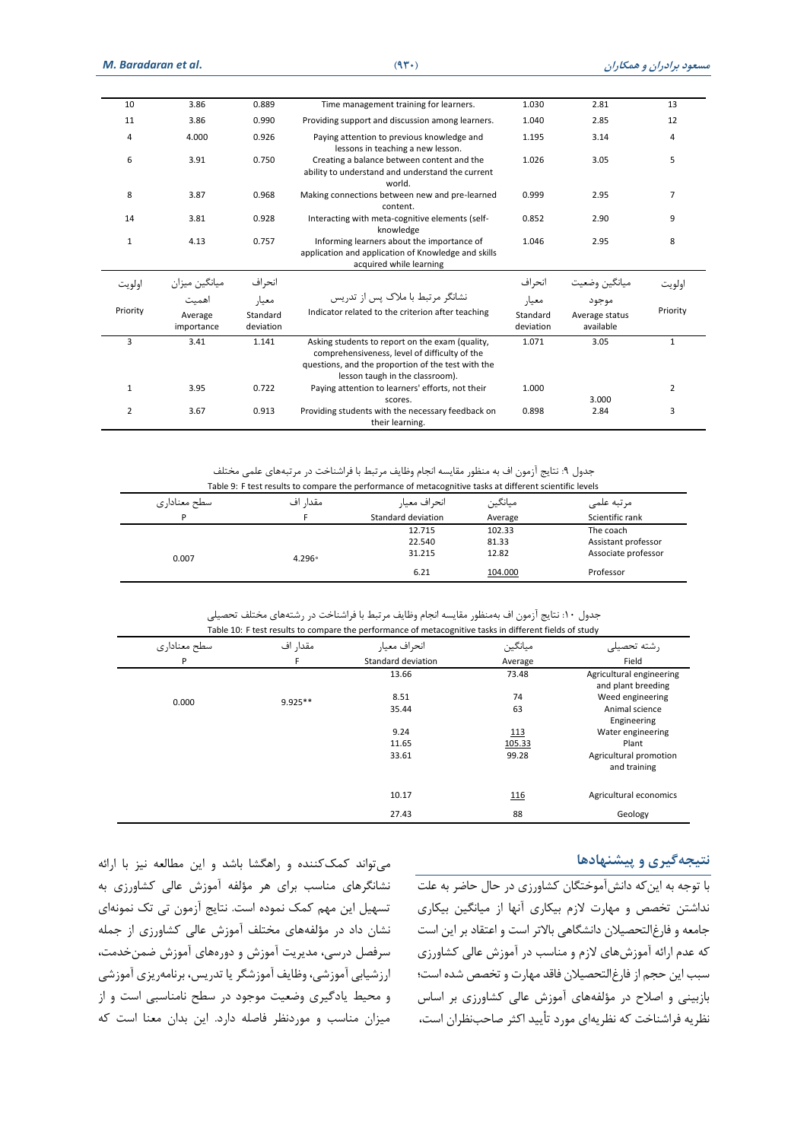| 10             | 3.86                           | 0.889                          | Time management training for learners.                                                                                                                                                    | 1.030                          | 2.81                                 | 13             |
|----------------|--------------------------------|--------------------------------|-------------------------------------------------------------------------------------------------------------------------------------------------------------------------------------------|--------------------------------|--------------------------------------|----------------|
| 11             | 3.86                           | 0.990                          | Providing support and discussion among learners.                                                                                                                                          | 1.040                          | 2.85                                 | 12             |
| 4              | 4.000                          | 0.926                          | Paying attention to previous knowledge and<br>lessons in teaching a new lesson.                                                                                                           | 1.195                          | 3.14                                 | 4              |
| 6              | 3.91                           | 0.750                          | Creating a balance between content and the<br>ability to understand and understand the current<br>world.                                                                                  | 1.026                          | 3.05                                 | 5              |
| 8              | 3.87                           | 0.968                          | Making connections between new and pre-learned<br>content.                                                                                                                                | 0.999                          | 2.95                                 | $\overline{7}$ |
| 14             | 3.81                           | 0.928                          | Interacting with meta-cognitive elements (self-<br>knowledge                                                                                                                              | 0.852                          | 2.90                                 | 9              |
| $\mathbf{1}$   | 4.13                           | 0.757                          | Informing learners about the importance of<br>application and application of Knowledge and skills<br>acquired while learning                                                              | 1.046                          | 2.95                                 | 8              |
| اولويت         | ميانگين ميزان                  | انحراف                         |                                                                                                                                                                                           | انحراف                         | ميانگين وضعيت                        | اولو ىت        |
| Priority       | اهميت<br>Average<br>importance | معيار<br>Standard<br>deviation | نشانگر مرتبط با ملاک پس از تدریس<br>Indicator related to the criterion after teaching                                                                                                     | معيار<br>Standard<br>deviation | موجود<br>Average status<br>available | Priority       |
| 3              | 3.41                           | 1.141                          | Asking students to report on the exam (quality,<br>comprehensiveness, level of difficulty of the<br>questions, and the proportion of the test with the<br>lesson taugh in the classroom). | 1.071                          | 3.05                                 | $\mathbf{1}$   |
| $\mathbf{1}$   | 3.95                           | 0.722                          | Paying attention to learners' efforts, not their<br>scores.                                                                                                                               | 1.000                          | 3.000                                | $\overline{2}$ |
| $\overline{2}$ | 3.67                           | 0.913                          | Providing students with the necessary feedback on<br>their learning.                                                                                                                      | 0.898                          | 2.84                                 | 3              |

جدول ۹: نتایج آزمون اف به منظور مقایسه انجام وظایف مرتبط با فراشناخت در مرتبههای علمی مختلف

|              |          | Table 9: F test results to compare the performance of metacognitive tasks at different scientific levels |         |                     |
|--------------|----------|----------------------------------------------------------------------------------------------------------|---------|---------------------|
| سطح معناداری | مقدا, اف | انحراف معيار                                                                                             | ميانگين | مرتبه علمى          |
| P            |          | Standard deviation                                                                                       | Average | Scientific rank     |
|              |          | 12.715                                                                                                   | 102.33  | The coach           |
|              |          | 22.540                                                                                                   | 81.33   | Assistant professor |
| 0.007        | $4.296*$ | 31.215                                                                                                   | 12.82   | Associate professor |
|              |          | 6.21                                                                                                     | 104.000 | Professor           |

جدول :10 نتایج آزمون اف بهمنظور مقایسه انجام وظایف مرتبط با فراشناخت در رشتههای مختلف تحصیلی

|              |           | Table 10: F test results to compare the performance of metacognitive tasks in different fields of study |             |                                                |
|--------------|-----------|---------------------------------------------------------------------------------------------------------|-------------|------------------------------------------------|
| سطح معناداري | مقدار اف  | انحراف معيار                                                                                            | ميانگين     | , شته تحص                                      |
| P            | F         | Standard deviation                                                                                      | Average     | Field                                          |
|              |           | 13.66                                                                                                   | 73.48       | Agricultural engineering<br>and plant breeding |
| 0.000        | $9.925**$ | 8.51                                                                                                    | 74          | Weed engineering                               |
|              |           | 35.44                                                                                                   | 63          | Animal science<br>Engineering                  |
|              |           | 9.24                                                                                                    | 113         | Water engineering                              |
|              |           | 11.65                                                                                                   | 105.33      | Plant                                          |
|              |           | 33.61                                                                                                   | 99.28       | Agricultural promotion<br>and training         |
|              |           | 10.17                                                                                                   | <u> 116</u> | Agricultural economics                         |
|              |           | 27.43                                                                                                   | 88          | Geology                                        |

### **نتیجهگیری و پیشنهادها**

با توجه به اینکه دانشآموختگان کشاورزی در حال حاضر به علت نداشتن تخصص و مهارت الزم بیکاری آنها از میانگین بیکاری جامعه و فارغ التحصیالن دانشگاهی باالتر است و اعتقاد بر این است که عدم ارائه آموزشهای الزم و مناسب در آموزش عالی کشاورزی سبب این حجم از فارغالتحصیالن فاقد مهارت و تخصص شده است؛ بازبینی و اصالح در مؤلفههای آموزش عالی کشاورزی بر اساس نظریه فراشناخت که نظریهای مورد تأیید اکثر صاحبنظران است،

میتواند کمککننده و راهگشا باشد و این مطالعه نیز با ارائه نشانگرهای مناسب برای هر مؤلفه آموزش عالی کشاورزی به تسهیل این مهم کمک نموده است. نتایج آزمون تی تک نمونهای نشان داد در مؤلفههای مختلف آموزش عالی کشاورزی از جمله سرفصل درسی، مدیریت آموزش و دورههای آموزش ضمن خدمت، ارزشیابی آموزشی، وظایف آموزشگر یا تدریس، برنامهریزی آموزشی و محیط یادگیری وضعیت موجود در سطح نامناسبی است و از میزان مناسب و موردنظر فاصله دارد. این بدان معنا است که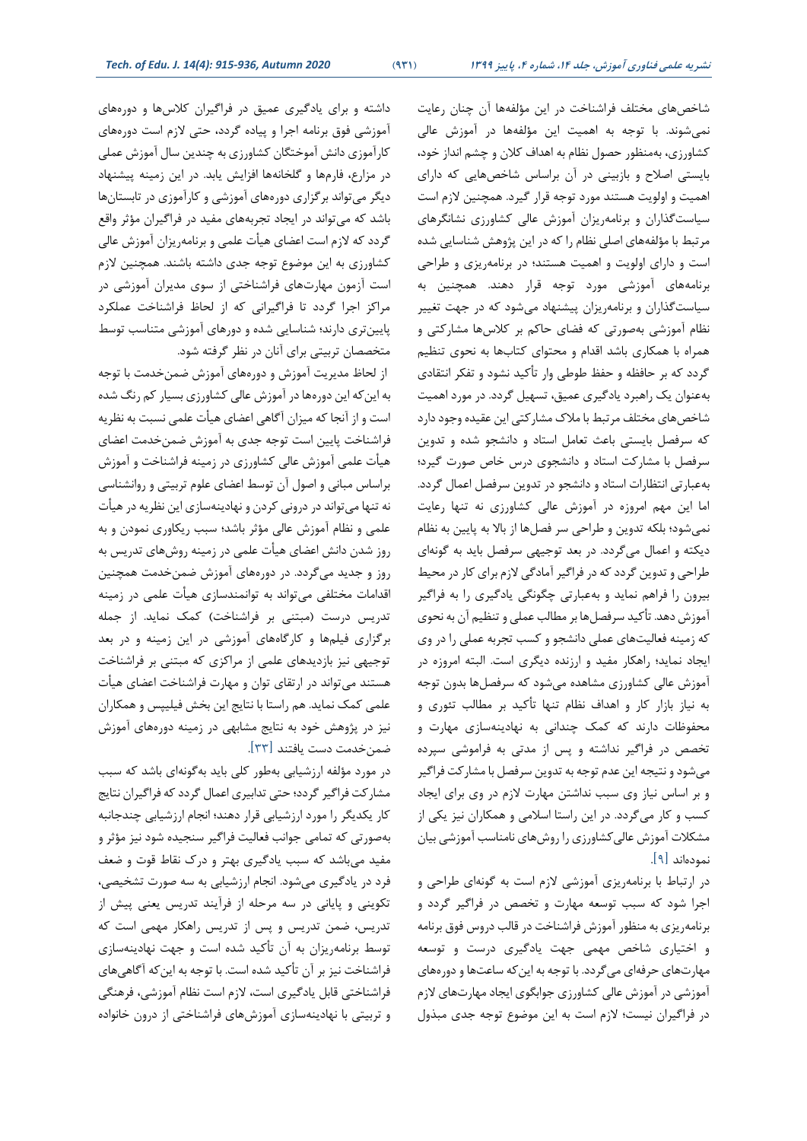شاخص های مختلف فراشناخت در این مؤلفهها آن چنان رعایت نمیشوند. با توجه به اهمیت این مؤلفهها در آموزش عالی کشاورزی، به منظور حصول نظام به اهداف کالن و چشم ان داز خود، بایستی اصالح و بازبینی در آن براساس شاخصهایی که دارای اهمیت و اولویت هستند مورد توجه قرار گیرد. همچنین الزم است سیاست گذاران و برنامهریزان آموزش عالی کشاورزی نشانگرهای مرتبط با مؤلفههای اصلی نظام را که در این پژوهش شناسایی شده است و دارای اولویت و اهمیت هستند؛ در برنامهریزی و طراحی برنامههای آموزشی مورد توجه قرار دهند. همچنین به سیاست گذاران و برنامهریزان پیشنهاد میشود که در جهت تغییر نظام آموزشی به صورتی که فضای حاکم بر کالسها مشارکتی و همراه با همکاری باشد اقدام و محتوای کتاب ها به نحوی تنظیم گردد که بر حافظه و حفظ طوطی وار تأکید نشود و تفکر انتقادی بهعنوان یک راهبرد یادگیری عمیق، تسهیل گردد. در مورد اهمیت شاخصهای مختلف مرتبط با مالک مشارکتی این عقیده وجود دارد که سرفصل بایستی باعث تعامل استاد و دانشجو شده و تدوین سرفصل با مشارکت استاد و دانشجوی درس خاص صورت گیرد؛ بهعبارتی انتظارات استاد و دانشجو در تدوین سرفصل اعمال گردد. اما این مهم امروزه در آموزش عالی کشاورزی نه تنها رعایت نمیشود؛ بلکه تدوین و طراحی سر فصلها از باال به پایین به نظام دیکته و اعمال میگردد. در بعد توجیهی سرفصل باید به گونه ای طراحی و تدوین گردد که در فراگیر آمادگی الزم برای کار در محیط بیرون را فراهم نماید و بهعبارتی چگونگی یادگیری را به فراگیر آموزش دهد. تأکید سرفصلها بر مطالب عملی و تنظیم آن به نحوی که زمینه فعالیتهای عملی دانشجو و کسب تجربه عملی را در وی ایجاد نماید؛ راهکار مفید و ارزنده دیگری است. البته امروزه در آموزش عالی کشاورزی مشاهده می شود که سرفصلها بدون توجه به نیاز بازار کار و اهداف نظام تنها تأکید بر مطالب تئوری و محفوظات دارند که کمک چندانی به نهادینهسازی مهارت و تخصص در فراگیر نداشته و پس از مدتی به فراموشی سپرده میشود و نتیجه این عدم توجه به تدوین سرفصل با مشارکت فراگیر و بر اساس نیاز وی سبب نداشتن مهارت الزم در وی برای ایجاد کسب و کار میگردد. در این راستا اسالمی و همکاران نیز یکی از مشکالت آموزش عالیکشاورزی را روشهای نامناسب آموزشی بیان نموده اند ]9[.

در ارتباط با برنامهریزی آموزشی لازم است به گونهای طراحی و اجرا شود که سبب توسعه مهارت و تخصص در فراگیر گردد و برنامهریزی به منظور آموزش فراشناخت در قالب دروس فوق برنامه و اختیاری شاخص مهمی جهت یادگیری درست و توسعه مهارت های حرفهای میگردد. با توجه به اینکه ساعتها و دورههای آموزشی در آموزش عالی کشاورزی جوابگوی ایجاد مهارتهای الزم در فراگیران نیست؛ الزم است به این موضوع توجه جدی مبذول

داشته و برای یادگیری عمیق در فراگیران کالسها و دورههای آموزشی فوق برنامه اجرا و پیاده گردد، حتی الزم است دورههای کارآموزی دانش آموختگان کشاورزی به چندین سال آموزش عملی در مزارع، فارمها و گلخانهها افزایش یابد. در این زمینه پیشنهاد دیگر میتواند برگزاری دورههای آموزشی و کارآموزی در تابستانها باشد که می تواند در ایجاد تجربههای مفید در فراگیران مؤثر واقع گردد که الزم است اعضای هیأت علمی و برنامهریزان آموزش عالی کشاورزی به این موضوع توجه جدی داشته باشند. همچنین الزم است آزمون مهارتهای فراشناختی از سوی مدیران آموزشی در مراکز اجرا گردد تا فراگیرانی که از لحاظ فراشناخت عملکرد پایین تری دارند؛ شناسایی شده و دورهای آموزشی متناسب توسط متخصصان تربیتی برای آنان در نظر گرفته شود.

 از لحاظ مدیریت آموزش و دورههای آموزش ضمن خدمت با توجه به اینکه این دورهها در آموزش عالی کشاورزی بسیار کم رنگ شده است و از آنجا که میزان آگاهی اعضای هیأت علمی نسبت به نظریه فراشناخت پایین است توجه جدی به آموزش ضمن خدمت اعضای هیأت علمی آموزش عالی کشاورزی در زمینه فراشناخت و آموزش براساس مبانی و اصول آن توسط اعضای علوم تربیتی و روانشناسی نه تنها میتواند در درونی کردن و نهادینهسازی این نظریه در هیأت علمی و نظام آموزش عالی مؤثر باشد؛ سبب ریکاوری نمودن و به روز شدن دانش اعضای هیأت علمی در زمینه روشهای تدریس به روز و جدید میگردد. در دورههای آموزش ضمنخدمت همچنین اقدامات مختلفی میتواند به توانمندسازی هیأت علمی در زمینه تدریس درست (مبتنی بر فراشناخت) کمک نماید. از جمله برگزاری فیلمها و کارگاههای آموزشی در این زمینه و در بعد توجیهی نیز بازدیدهای علمی از مراکزی که مبتنی بر فراشناخت هستند میتواند در ارتقای توان و مهارت فراشناخت اعضای هیأت علمی کمک نماید. هم راستا با نتایج این بخش فیلیپس و همکاران نیز در پژوهش خود به نتایج مشابهی در زمینه دورههای آموزش ضمنخدمت دست یافتند ]33[.

در مورد مؤلفه ارزشیابی بهطور کلی باید بهگونهای باشد که سبب مشارکت فراگیر گردد؛ حتی تدابیری اعمال گردد که فراگیران نتایج کار یکدیگر را مورد ارزشیابی قرار دهند؛ انجام ارزشیابی چندجانبه بهصورتی که تمامی جوانب فعالیت فراگیر سنجیده شود نیز مؤثر و مفید میباشد که سبب یادگیری بهتر و درک نقاط قوت و ضعف فرد در یادگیری میشود. انجام ارزشیابی به سه صورت تشخیصی، تکوینی و پایانی در سه مرحله از فرآیند تدریس یعنی پیش از تدریس، ضمن تدریس و پس از تدریس راهکار مهمی است که توسط برنامهریزان به آن تأکید شده است و جهت نهادینهسازی فراشناخت نیز بر آن تأکید شده است. با توجه به اینکه آگاهیهای فراشناختی قابل یادگیری است، الزم است نظام آموزشی، فرهنگی و تربیتی با نهادینهسازی آموزشهای فراشناختی از درون خانواده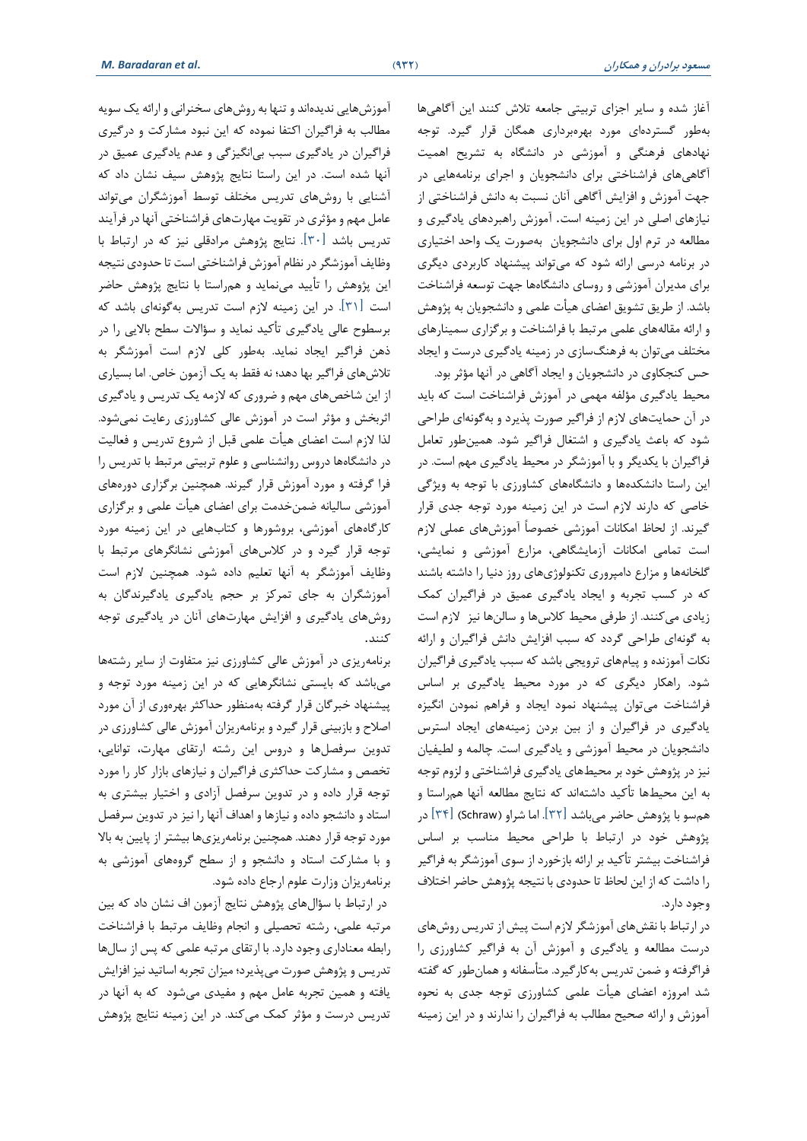آغاز شده و سایر اجزای تربیتی جامعه تالش کنند این آگاهیها بهطور گستردهای مورد بهرهبرداری همگان قرار گیرد. توجه نهادهای فرهنگی و آموزشی در دانشگاه به تشریح اهمیت آگاهیهای فراشناختی برای دانشجویان و اجرای برنامههایی در جهت آموزش و افزایش آگاهی آنان نسبت به دانش فراشناختی از نیازهای اصلی در این زمینه است. آموزش راهبردهای یادگیری و مطالعه در ترم اول برای دانشجویان بهصورت یک واحد اختیاری در برنامه درسی ارائه شود که میتواند پیشنهاد کاربردی دیگری برای مدیران آموزشی و روسای دانشگاهها جهت توسعه فراشناخت باشد. از طریق تشویق اعضای هیأت علمی و دانشجویان به پژوهش و ارائه مقالههای علمی مرتبط با فراشناخت و برگزاری سمینارهای مختلف میتوان به فرهنگسازی در زمینه یادگیری درست و ایجاد حس کنجکاوی در دانشجویان و ایجاد آگاهی در آنها مؤثر بود.

محیط یادگیری مؤلفه مهمی در آموزش فراشناخت است که باید در آن حمایتهای الزم از فراگیر صورت پذیرد و به گونهای طراحی شود که باعث یادگیری و اشتغال فراگیر شود. همینطور تعامل فراگیران با یکدیگر و با آموزشگر در محیط یادگیری مهم است. در این راستا دانشکدهها و دانشگاههای کشاورزی با توجه به ویژگی خاصی که دارند الزم است در این زمینه مورد توجه جدی قرار گیرند. از لحاظ امکانات آموزشی خصوصاً آموزشهای عملی الزم است تمامی امکانات آزمایشگاهی، مزارع آموزشی و نمایشی، گلخانهها و مزارع دامپروری تکنولوژی های روز دنیا را داشته باشند که در کسب تجربه و ایجاد یادگیری عمیق در فراگیران کمک زیادی میکنند. از طرفی محیط کالسها و سالنها نیز الزم است به گونهای طراحی گردد که سبب افزایش دانش فراگیران و ارائه نکات آموزنده و پیامهای ترویجی باشد که سبب یادگیری فراگیران شود. راهکار دیگری که در مورد محیط یادگیری ب ر اساس فراشناخت میتوان پیشنهاد نمود ایجاد و فراهم نمودن انگیزه یادگیری در فراگیران و از بین بردن زمینههای ایجاد استرس دانشجویان در محیط آموزشی و یادگیری است. چالمه و لطیفیان نیز در پژوهش خود بر محیطهای یادگیری فراشناختی و لزوم توجه به این محیطها تأکید داشتهاند که نتایج مطالعه آنها همراستا و همسو با پژوهش حاضر می باشد ]32[ . اما شراو )Schraw[ )34 ]در پژوهش خود در ارتباط با طراحی محیط مناسب بر اساس فراشناخت بیشتر تأکید بر ارائه بازخورد از سوی آموزشگر به فراگیر را داشت که از این لحاظ تا حدودی با نتیجه پژوهش حاضر اختالف وجود دارد.

در ارتباط با نقشهای آموزشگر الزم است پیش از تدریس روشهای درست مطالعه و یادگیری و آموزش آن به فراگیر کشاورزی را فراگرفته و ضمن تدریس بهکارگیرد. متأسفانه و همانطور که گفته شد امروزه اعضای هیأت علمی کشاورزی توجه جدی به نحوه آموزش و ارائه صحیح مطالب به فراگیران را ندارند و در این زمینه

آموزشهایی ندیدهاند و تنها به روشهای سخنرانی و ارائه یک سویه مطالب به فراگیران اکتفا نموده که این نبود مشارکت و درگیری فراگیران در یادگیری سبب بیانگیزگی و عدم یادگیری عمیق در آنها شده است. در این راستا نتایج پژوهش سیف نشان داد که آشنایی با روشهای تدریس مختلف توسط آموزشگران میتواند عامل مهم و مؤثری در تقویت مهارتهای فراشناختی آنها در فرآیند تدریس باشد ]30[. نتایج پژوهش مرادقلی نیز که در ارتباط با وظایف آموزشگر در نظام آموزش فراشناختی است تا حدودی نتیجه این پژوهش را تأیید مینماید و همراستا با نتایج پژوهش حاضر است ]31[. در این زمینه الزم است تدریس بهگونهای باشد که برسطوح عالی یادگیری تأکید نماید و سؤاالت سطح باالیی را در ذهن فراگیر ایجاد نماید. به طور کلی الزم است آموزشگر به تالش های فراگیر بها دهد؛ نه فقط به یک آزمون خاص. اما بسیاری از این شاخصهای مهم و ضروری که الزمه یک تدریس و یادگیری اثربخش و مؤثر است در آموزش عالی کشاورزی رعایت نمیشود. لذا الزم است اعضای هیأت علمی قبل از شروع تدریس و فعالیت در دانشگاهها دروس روانشناسی و علوم تربیتی مرتبط با تدریس را فرا گرفته و مورد آموزش قرار گیرند. همچنین برگزاری دورههای آموزشی سالیانه ضمن خدمت برای اعضای هیأت علمی و برگزاری کارگاههای آموزشی، بروشورها و کتابهایی در این زمینه مورد توجه قرار گیرد و در کالسهای آموزشی نشانگرهای مرتبط با وظایف آموزشگر به آنها تعلیم داده شود. همچنین الزم است آموزشگران به جای تمرکز بر حجم یادگیری یادگیرندگان به روش های یادگیری و افزایش مهارتهای آنان در یادگیری توجه کنند.

برنامهریزی در آموزش عالی کشاورزی نیز متفاوت از سایر رشتهها میباشد که بایستی نشانگرهایی که در این زمینه مورد توجه و پیشنهاد خبرگان قرار گرفته بهمنظور حداکثر بهرهوری از آن مورد اصالح و بازبینی قرار گیرد و برنامهریزان آموزش عالی کشاورزی در تدوین سرفصلها و دروس این رشته ارتقای مهارت، توانایی، تخصص و مشارکت حداکثری فراگیران و نیازهای بازار کار را مورد توجه قرار داده و در تدوین سرفصل آزادی و اختیار بیشتری به استاد و دانشجو داده و نیازها و اهداف آنها را نیز در تدوین سرفصل مورد توجه قرار دهند. همچنین برنامه یزیها بیشتر از پایین به بالا و با مشارکت استاد و دانشجو و از سطح گروههای آموزشی به برنامه ریزان وزارت علوم ارجاع داده شود.

 در ارتباط با سؤالهای پژوهش نتایج آزمون اف نشان داد که بین مرتبه علمی، رشته تحصیلی و انجام وظایف مرتبط با فراشناخت رابطه معناداری وجود دارد. با ارتقای مرتبه علمی که پس از سالها تدریس و پژوهش صورت میپذیرد؛ میزان تجربه اساتید نیز افزایش یافته و همین تجربه عامل مهم و مفیدی میشود که به آنها در تدریس درست و مؤثر کمک می کند. در این زمینه نتایج پژوهش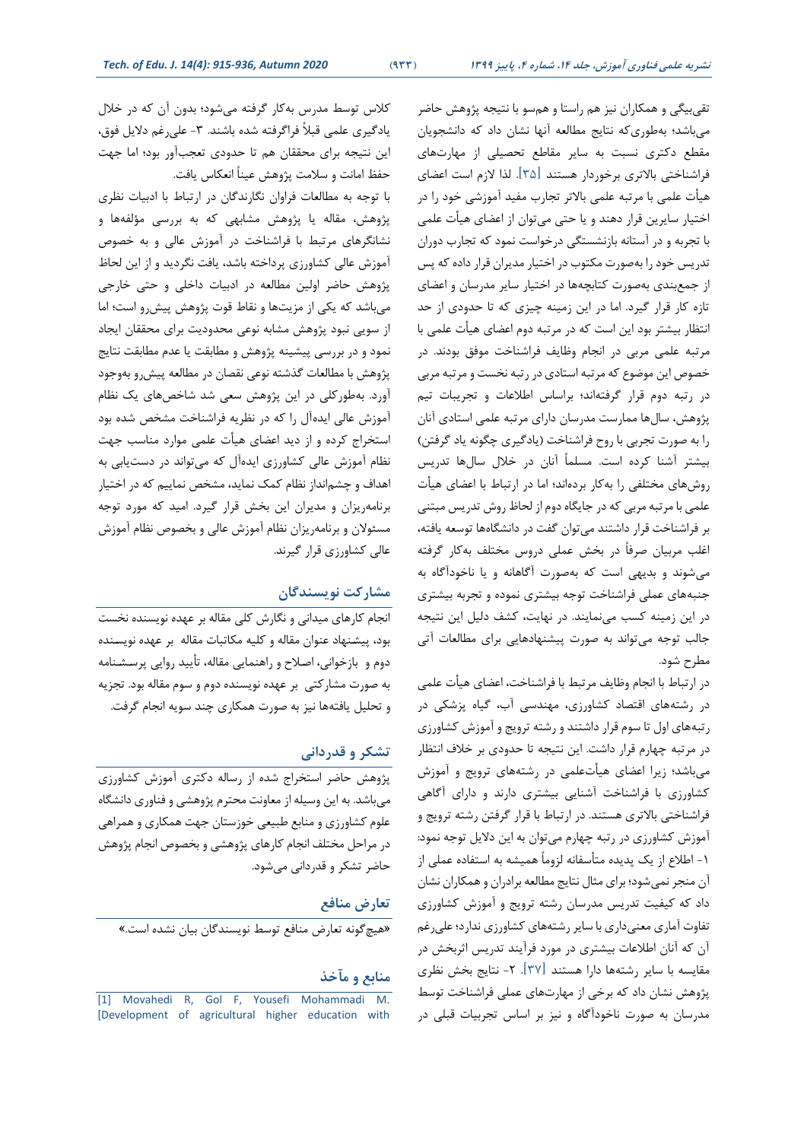تقیبیگی و همکاران نیز هم راستا و همسو با نتیجه پژوهش حاضر میباشد؛ بهطوری که نتایج مطالعه آنها نشان داد که دانشجویان مقطع دکتری نسبت به سایر مقاطع تحصیلی از مهارتهای فراشناختی باالتری برخوردار هستند ]35[. لذا الزم است اعضای هیأت علمی با مرتبه علمی باالتر تجارب مفید آموزشی خود را در اختیار سایرین قرار دهند و یا حتی میتوان از اعضای هیأت علمی با تجربه و در آستانه بازنشستگی درخواست نمود که تجارب دوران تدریس خود را به صورت مکتوب در اختیار مدیران قرار داده که پس از جمعبندی به صورت کتابچهها در اختیار سایر مدرسان و اعضای تازه کار قرار گیرد. اما در این زمینه چیزی که تا حدودی از حد انتظار بیشتر بود این است که در مرتبه دوم اعضای هیأت علمی با مرتبه علمی مربی در انجام وظایف فراشناخت موفق بودند. در خصوص این موضوع که مرتبه استادی در رتبه نخست و مرتبه مربی در رتبه دوم قرار گرفتهاند؛ براساس اطالعات و تجریبات تیم پژوهش، سالها ممارست مدرسان دارای مرتبه علمی استادی آنان را به صورت تجربی با روح فراشناخت (یادگیری چگونه یاد گرفتن) بیشتر آشنا کرده است. مسلماً آنان در خالل سالها تدریس روش های مختلفی را بهکار بردهاند؛ اما در ارتباط با اعضای هیأت علمی با مرتبه مربی که در جایگاه دوم از لحاظ روش تدریس مبتنی بر فراشناخت قرار داشتند میتوان گفت در دانشگاهها توسعه یافته، اغلب مربیان صرفاً در بخش عملی دروس مختلف بهکار گرفته می شوند و بدیهی است که بهصورت آگاهانه و یا ناخودآگاه به جنبههای عملی فراشناخت توجه بیشتری نموده و تجربه بیشتری در این زمینه کسب مینمایند. در نهایت، کشف دلیل این نتیجه جالب توجه میتواند به صورت پیشنهادهایی برای مطالعات آتی مطرح شود.

در ارتباط با انجام وظایف مرتبط با فراشناخت، اعضای هیأت علمی در رشتههای اقتصاد کشاورزی، مهندسی آب، گیاه پزشکی در رتبههای اول تا سوم قرار داشتند و رشته ترویج و آموزش کشاورزی در مرتبه چهارم قرار داشت. این نتیجه تا حدودی بر خالف انتظار میباشد؛ زیرا اعضای هیأتعلمی در رشتههای ترویج و آموزش کشاورزی با فراشناخت آشنایی بیشتری دارند و دارای آگاهی فراشناختی باالتری هستند. در ارتباط با قرار گرفتن رشته ترویج و آموزش کشاورزی در رتبه چهارم میتوان به این دالیل توجه نمود: -1 اطالع از یک پدیده متأسفانه لزوماً همیشه به استفاده عملی از آن منجر نمیشود؛ برای مثال نتایج مطالعه برادران و همکاران نشان داد که کیفیت تدریس مدرسان رشته ترویج و آموزش کشاورزی تفاوت آماری معنیداری با سایر رشته های کشاورزی ندارد؛ علیرغم آن که آنان اطالعات بیشتری در مورد فرآیند تدریس اثربخش در مقایسه با سایر رشتهها دارا هستند ]37[. -2 نتایج بخش نظری پژوهش نشان داد که برخی از مهارت های عملی فراشناخت توسط مدرسان به صورت ناخودآگاه و نیز بر اساس تجربیات قبلی در

کالس توسط مدرس به کار گرفته میشود؛ بدون آن که در خالل یادگیری علمی قبلاً فراگرفته شده باشند. ۳- علیرغم دلایل فوق، این نتیجه برای محققان هم تا حدودی تعجبآور بود؛ اما جهت حفظ امانت و سالمت پژوهش عیناً انعکاس یافت.

با توجه به مطالعات فراوان نگارندگان در ارتباط با ادبیات نظری پژوهش، مقاله یا پژوهش مشابهی که به بررسی مؤلفهها و نشانگرهای مرتبط با فراشناخت در آموزش عالی و به خصوص آموزش عالی کشاورزی پرداخته باشد، یافت نگردید و از این لحاظ پژوهش حاضر اولین مطالعه در ادبیات داخلی و حتی خارجی میباشد که یکی از مزیتها و نقاط قوت پژوهش پیشرو است؛ اما از سویی نبود پژوهش مشابه نوعی محدودیت برای محققان ایجاد نمود و در بررسی پیشینه پژوهش و مطابقت یا عدم مطابقت نتایج پژوهش با مطالعات گذشته نوعی نقصان در مطالعه پیشرو به وجود آورد. بهطورکلی در این پژوهش سعی شد شاخصهای یک نظام آموزش عالی ایدهآل را که در نظریه فراشناخت مشخص شده بود استخراج کرده و از دید اعضای هیأت علمی موارد مناسب جهت نظام آموزش عالی کشاورزی ایده آل که میتواند در دستیابی به اهداف و چشمانداز نظام کمک نماید، مشخص نماییم که در اختیار برنامهریزان و مدیران این بخش قرار گیرد. امید که مورد توجه مسئوالن و برنامه ریزان نظام آموزش عالی و بخصوص نظام آموزش عالی کشاورزی قرار گیرند.

### **مشارکت نویسندگان**

انجام کارهای میدانی و نگارش کلی مقاله بر عهده نویسنده نخست بود، پیشـنهاد عنوان مقاله و کلیه مکاتبات مقاله بر عهده نویسـنده دوم و بازخوانی، اصـالح و راهنمایی مقاله، تأیید روایی پرسـشـنامه به صورت مشارکتی بر عهده نویسنده دوم و سوم مقاله بود. تجزیه و تحلیل یافتهها نیز به صورت همکاری چند سویه انجام گرفت.

#### **تشکر و قدردانی**

پژوهش حاضر استخراج شده از رساله دکتری آموزش کشاورزی میباشد. به این وسیله از معاونت محترم پژوهشی و فناوری دانشگاه علوم کشاورزی و منابع طبیعی خوزستان جهت همکاری و همراهی در مراحل مختلف انجام کارهای پژوهشی و بخصوص انجام پژوهش حاضر تشکر و قدردانی میشود.

### **تعارض منافع**

»هیچگونه تعارض منافع توسط نویسندگان بیان نشده است.«

#### **منابع و مآخذ**

<sup>[1]</sup> [Movahedi R, Gol F, Yousefi Mohammadi](http://jead.gau.ac.ir/a%20rticle%20_292%202.%20html.) M. [\[Development of agricultural higher education with](http://jead.gau.ac.ir/a%20rticle%20_292%202.%20html.)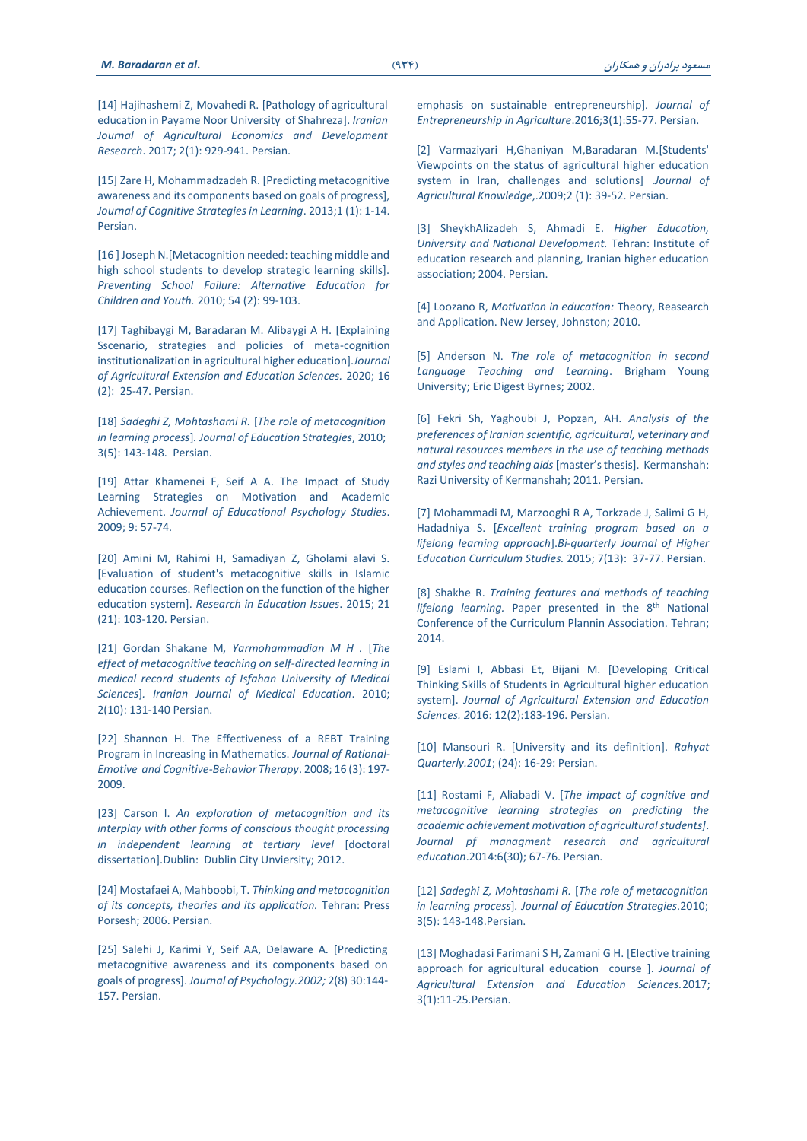[14] [Hajihashemi Z, Movahedi R.](https://ijaedr.ut.ac.ir/article_61414.html) [Pathology of agricultural [education in Payame Noor University of Shahreza](https://ijaedr.ut.ac.ir/article_61414.html)[. *Iranian [Journal of Agricultural Economics and Development](https://ijaedr.ut.ac.ir/article_61414.html)  Research*[. 2017; 2\(1\): 929-941.](https://ijaedr.ut.ac.ir/article_61414.html) Persian.

[15] Zare H, Mohammadzadeh R. [Predicting metacognitive [awareness and its components based on goals of progress](https://asj.basu.ac.ir/article_683.html)], *[Journal of Cognitive Strategies in Learning](https://asj.basu.ac.ir/article_683.html)*. 2013;1 (1): 1-14. [Persian.](https://asj.basu.ac.ir/article_683.html)

[16] Joseph N. [Metacognition needed: teaching middle and [high school students to develop strategic learning skills\].](https://www.tandfonline.com/doi/abs/10.1080/10459880903217770.)  *[Preventing School Failure: Alternative Education for](https://www.tandfonline.com/doi/abs/10.1080/10459880903217770.)  Children and Youth.* [2010; 54 \(2\): 99-103.](https://www.tandfonline.com/doi/abs/10.1080/10459880903217770.)

[17] [Taghibaygi M, Baradaran M. Alibaygi A H.](http://www.iaeej.ir/article_95289_59470a0055bd0dc9f3c442ca3629014a.pdf) [Explaining [Sscenario, strategies and policies of meta-cognition](http://www.iaeej.ir/article_95289_59470a0055bd0dc9f3c442ca3629014a.pdf)  [institutionalization in agricultural higher education](http://www.iaeej.ir/article_95289_59470a0055bd0dc9f3c442ca3629014a.pdf)[.*Journal [of Agricultural Extension and Education Sciences.](http://www.iaeej.ir/article_95289_59470a0055bd0dc9f3c442ca3629014a.pdf)* 2020; 16 [\(2\): 25-47. Persian.](http://www.iaeej.ir/article_95289_59470a0055bd0dc9f3c442ca3629014a.pdf)

]18[ *[Sadeghi Z, Mohtashami R.](http://edcbmj.ir/browse.php?a_code=A-10-146-2&slc_lang=fa&sid=1.)* ]*The role of metacognition in learning process*[*. [Journal of Education Strategies](http://edcbmj.ir/browse.php?a_code=A-10-146-2&slc_lang=fa&sid=1.)*, 2010; [3\(5\): 143-148. Persian.](http://edcbmj.ir/browse.php?a_code=A-10-146-2&slc_lang=fa&sid=1.)

[19] Attar Khamenei F, Seif A A. The Impact of Study [Learning Strategies on Motivation and Academic](http://jeps.usb.ac.ir/article_739.html)  Achievement. *[Journal of Educational Psychology Studies](http://jeps.usb.ac.ir/article_739.html)*. [2009; 9: 57-74.](http://jeps.usb.ac.ir/article_739.html) 

[20] [Amini M, Rahimi H, Samadiyan Z,](http://www.magiran.com/) Gholami alavi S. [Evaluation of student's metacognitive skills in Islamic [education courses. Reflection on the function of the higher](http://www.magiran.com/)  education system[. *[Research in Education Issues](http://www.magiran.com/)*. 2015; 21 [\(21\): 103-120. Persian.](http://www.magiran.com/)

[21] Gordan Shakane M[, Yarmohammadian M H .](http://ijme.mui.ac.ir/article-1-1227-fa.pdf) [The *[effect of metacognitive teaching on self-directed learning in](http://ijme.mui.ac.ir/article-1-1227-fa.pdf)  [medical record students of Isfahan University of Medical](http://ijme.mui.ac.ir/article-1-1227-fa.pdf)  Sciences*[*. [Iranian Journal of Medical Education](http://ijme.mui.ac.ir/article-1-1227-fa.pdf)*. 2010; [2\(10\): 131-140 Persian.](http://ijme.mui.ac.ir/article-1-1227-fa.pdf)

[22] Shannon H. The Effectiveness of a REBT Training [Program in Increasing in Mathematics.](https://jref.ir/749) *Journal of Rational-[Emotive and Cognitive-Behavior Therapy](https://jref.ir/749)*. 2008; 16 (3): 197- [2009.](https://jref.ir/749)

[23] Carson I. An exploration of metacognition and its *interplay with other forms of conscious thought processing in independent learning at tertiary level* [doctoral dissertation].Dublin: Dublin City Unviersity; 2012.

]24[ Mostafaei A, Mahboobi, T. *Thinking and metacognition of its concepts, theories and its application.* Tehran: Press Porsesh; 2006. Persian.

[25] Salehi J, Karimi Y, Seif AA, Delaware A. [Predicting [metacognitive awareness and its components based on](https://www.sid.ir/fa/Journal/ViewPaper.aspx?ID=82874)  goals of progress]. *[Journal of Psychology.2002;](https://www.sid.ir/fa/Journal/ViewPaper.aspx?ID=82874)* 2(8) 30:144- [157. Persian.](https://www.sid.ir/fa/Journal/ViewPaper.aspx?ID=82874)

[emphasis on sustainable entrepreneurship\]](http://jead.gau.ac.ir/a%20rticle%20_292%202.%20html.)*. Journal of [Entrepreneurship in Agriculture](http://jead.gau.ac.ir/a%20rticle%20_292%202.%20html.)*.2016;3(1):55-77. Persian.

[2] [Varmaziyari H,Ghaniyan M,Baradaran M.](http://jead.gau.ac.ir/article_2922.html.)[Students' [Viewpoints on the status of agricultural higher education](http://jead.gau.ac.ir/article_2922.html.)  system in Iran, [challenges and solutions](http://jead.gau.ac.ir/article_2922.html.)] .Journal of *Agricultural Knowledge*[,.2009;2 \(1\): 39-52. Persian.](http://jead.gau.ac.ir/article_2922.html.)

[3] [SheykhAlizadeh S, Ahmadi E.](https://www.noormags.ir/view/fa/creator/31365.) *Higher Education*, *[University and National Development.](https://www.noormags.ir/view/fa/creator/31365.)* Tehran: Institute of [education research and planning, Iranian higher education](https://www.noormags.ir/view/fa/creator/31365.)  association; [2004. Persian.](https://www.noormags.ir/view/fa/creator/31365.)

[4] Loozano R, [Motivation in education:](https://www.amazon.com/Motivation-Education-Theory-Research-Applications/dp/0133017524) Theory, Reasearch [and Application. New Jersey,](https://www.amazon.com/Motivation-Education-Theory-Research-Applications/dp/0133017524) Johnston; 2010.

[5] Anderson N. *The role of metacognition in second [Language Teaching and Learning](https://www.gpo.gov/%20fdsys/pkg/%20ERIC-ED463659/pdf/ERIC-ED4636%2059.pdf)*. Brigham Young University; [Eric Digest Byrnes; 2002.](https://www.gpo.gov/%20fdsys/pkg/%20ERIC-ED463659/pdf/ERIC-ED4636%2059.pdf)

]6[ Fekri Sh, Yaghoubi J, Popzan, AH. *Analysis of the preferences of Iranian scientific, agricultural, veterinary and natural resources members in the use of teaching methods and styles and teaching aids* [master's thesis]. Kermanshah: Razi University of Kermanshah; 2011. Persian.

[7] Mohammadi M, Marzooghi R A, Torkzade J, Salimi G H, Hadadniya S. ]*[Excellent training program based on a](http://www.icsajournal.ir/article_41091.html.)  lifelong learning approach*[.*[Bi-quarterly Journal of Higher](http://www.icsajournal.ir/article_41091.html.)  [Education Curriculum Studies.](http://www.icsajournal.ir/article_41091.html.)* 2015; 7(13): 37-77. Persian.

[8] Shakhe R. *Training features and methods of teaching* lifelong learning. [Paper presented in the 8](http://www.civilica.com/)<sup>th</sup> National [Conference of the Curriculum Plannin Association.](http://www.civilica.com/) Tehran; 2014.

[9] [Eslami I, Abbasi Et, Bijani M.](https://www.magiran.com/paper/1680844) [Developing Critical [Thinking Skills of Students in Agricultural higher education](https://www.magiran.com/paper/1680844)  system[. *[Journal of Agricultural Extension and Education](https://www.magiran.com/paper/1680844)  Sciences. 2*[016: 12\(2\):183-196.](https://www.magiran.com/paper/1680844) Persian.

]10[ [Mansouri R. \[University and its definition\].](http://rahyaft.nrisp.ac.ir/article%20_13295.html.) *Rahyat [Quarterly.2001](http://rahyaft.nrisp.ac.ir/article%20_13295.html.)*; (24): 16-29: Persian.

[11] Rostami F, Aliabadi V. [*The impact of cognitive and [metacognitive learning strategies on predicting the](https://itvhe.areeo.ac.ir/article_100988.html)  [academic achievement motivation of agricultural students\]](https://itvhe.areeo.ac.ir/article_100988.html)*. *[Journal pf managment research and agricultural](https://itvhe.areeo.ac.ir/article_100988.html)  education*[.2014:6\(30\); 67-76. Persian.](https://itvhe.areeo.ac.ir/article_100988.html)

]12[ *[Sadeghi Z, Mohtashami R.](http://edcbmj.ir/browse.php?a_code=A-10-146-2&slc_lang=fa&sid=1.)* ]*The role of metacognition in learning process*[*. [Journal of Education Strategies](http://edcbmj.ir/browse.php?a_code=A-10-146-2&slc_lang=fa&sid=1.)*.2010; [3\(5\): 143-148.Persian](http://edcbmj.ir/browse.php?a_code=A-10-146-2&slc_lang=fa&sid=1.).

[13] [Moghadasi Farimani S H, Zamani G H.](https://www.sid.ir/fa/journ%20al/JournalListPa%20per.aspx?ID=17894) [Elective training [approach for agricultural education course](https://www.sid.ir/fa/journ%20al/JournalListPa%20per.aspx?ID=17894) [. *Journal of [Agricultural Extension and Education Sciences.](https://www.sid.ir/fa/journ%20al/JournalListPa%20per.aspx?ID=17894)*2017; [3\(1\):11-25](https://www.sid.ir/fa/journ%20al/JournalListPa%20per.aspx?ID=17894)*.*Persian.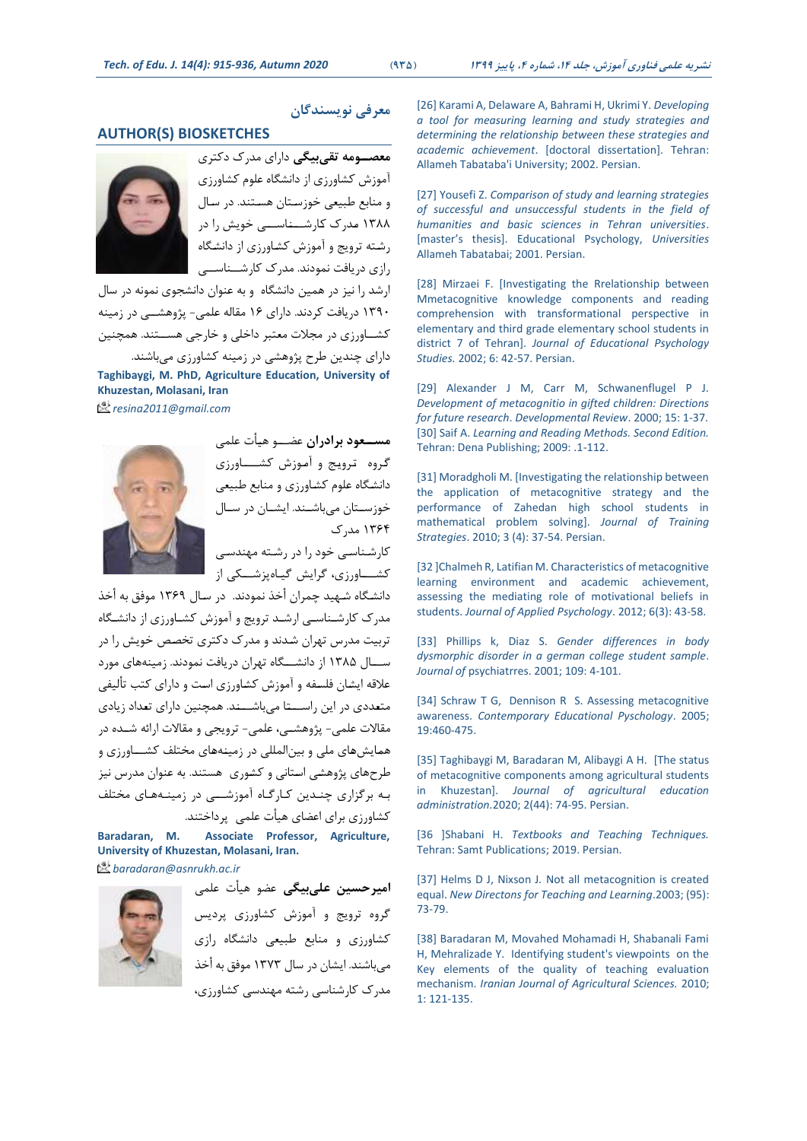## **AUTHOR(S) BIOSKETCHES**



**معصووومه تقیبیگی** دارای مدرک دکتری آموزش کشاورزی از دانشگاه علوم کشاورزی و منابع طبیعی خوزسـتان هسـتند. در سـال 1388 مـدرک کـارشـــنـاســـی خویش را در رشـته ترویج و آموزش کشـاورزی از دانشـگاه رازی دریافت نمودند. مدرک کارشــناســی

**معرفی نویسندگان** 

ارشد را نیز در همین دانشگاه و به عنوان دانشجوی نمونه در سال 1390 دریافت کردند. دارای 16 مقاله علمی- پژوهشــی در زمینه کشــاورزی در مجالت معتبر داخلی و خارجی هســتند. همچنین دارای چندین طرح پژوهشی در زمینه کشاورزی میباشند. **Taghibaygi, M. PhD, Agriculture Education, University of Khuzestan, Molasani, Iran**

*resina2011@gmail.com*



**مسووعود برادران** عضـــو هیـأت علمی گـروه تـرویـج و آمـوزش کشــــاورزی دانشـگاه علوم کشـاورزی و منابع طبیعی خوزســتان میباشــند. ایشــان در سـال 1364 مدرک

کارشـناسـی خود را در رشـته مهندسـی کشـــاورزی، گرایش گیـاهپزشـــکی از

دانشـگاه شـهید چمران أخذ نمودند. در سـال 1369 موفق به أخذ مدرک کارشـناسـی ارشـد ترویج و آموزش کشـاورزی از دانشـگاه تربیت مدرس تهران شـدند و مدرک دکتری تخصـص خویش را در ســـال 1385 از دانشـــگاه تهران دریافت نمودند. زمینههای مورد عالقه ایشـان فلسـفه و آموزش کشـاورزی اسـت و دارای کتب تألیفی متعـددی در این راســـتـا میباشـــنـد. همچنین دارای تعـداد زیادی مقاالت علمی- پژوهشــی، علمی- ترویجی و مقاالت ارائه شــده در همـایشهـای ملی و بینالمللی در زمینـههـای مختلف کشـــاورزی و طرحهای پژوهشـی اسـتانی و کشـوری هستند. به عنوان مدرس نیز بـه برگزاری چنـدین کـارگـاه آموزشـــی در زمینـههـای مختلف کشاورزی برای اعضای هیأت علمی پرداختند.

**Baradaran, M. Associate Professor, Agriculture, University of Khuzestan, Molasani, Iran.** *baradaran@asnrukh.ac.ir*



**امیرحسین علی بیگی** عضو هیأت علمی گروه ترویج و آموزش کشاورزی پردیس کشاورزی و منابع طبیعی دانشگاه رازی میباشند. ایشان در سال 1373 موفق به أخذ مدرک کارشناسی رشته مهندسی کشاورزی،

]26[ Karami A, Delaware A, Bahrami H, Ukrimi Y. *Developing a tool for measuring learning and study strategies and determining the relationship between these strategies and academic achievement*. [doctoral dissertation]. Tehran: Allameh Tabataba'i University; 2002. Persian.

]27[ Yousefi Z. *Comparison of study and learning strategies of successful and unsuccessful students in the field of humanities and basic sciences in Tehran universities*. [master's thesis]. Educational Psychology, *Universities* Allameh Tabatabai; 2001. Persian.

[28] Mirzaei F. [Investigating the Rrelationship between Mmetacognitive [knowledge components and reading](https://jcp.khu.ac.ir/article-1-1708-fa.pdf)  [comprehension with transformational perspective in](https://jcp.khu.ac.ir/article-1-1708-fa.pdf)  [elementary and third grade elementary school students in](https://jcp.khu.ac.ir/article-1-1708-fa.pdf)  district 7 of Tehran]. *[Journal of Educational Psychology](https://jcp.khu.ac.ir/article-1-1708-fa.pdf)  Studies.* [2002; 6: 42-57.](https://jcp.khu.ac.ir/article-1-1708-fa.pdf) Persian.

[29] Alexander J M, Carr M, Schwanenflugel P J. *[Development of metacognitio in gifted children: Directions](https://www.sciencedirect.com/%20science/article/pii/S0%202732297857%2010015.)  for future research*. *[Developmental Review](https://www.sciencedirect.com/%20science/article/pii/S0%202732297857%2010015.)*. 2000; 15: 1-37. [30] Saif A. *Learning and Reading Methods. Second Edition.* Tehran: Dena Publishing; 2009: .1-112.

[31] Moradgholi M. [Investigating the relationship between [the application of metacognitive strategy and the](https://www.sid.ir/fa/Journal/ViewPaper.aspx?id=129832)  [performance of Zahedan high school students in](https://www.sid.ir/fa/Journal/ViewPaper.aspx?id=129832)  [mathematical problem solving](https://www.sid.ir/fa/Journal/ViewPaper.aspx?id=129832)]. *Journal of Training Strategies*[. 2010; 3 \(4\): 37-54. Persian](https://www.sid.ir/fa/Journal/ViewPaper.aspx?id=129832).

[32] Chalmeh R, Latifian M. Characteristics of metacognitive [learning environment and academic achievement,](http://apsy.sbu.ac.ir/article/view/3016.)  [assessing the mediating role of motivational beliefs in](http://apsy.sbu.ac.ir/article/view/3016.)  students. *[Journal of Applied Psychology](http://apsy.sbu.ac.ir/article/view/3016.)*. 2012; 6(3): 43-58.

[33] Phillips k, Diaz S. Gender differences in body *[dysmorphic disorder in a german college student sample](https://europepmc.org/article/med/11850057)*. *Journal of* [psychiatrres. 2001; 109: 4-101.](https://europepmc.org/article/med/11850057) 

[34] Schraw T G, Dennison R S. Assessing metacognitive awareness. *[Contemporary Educational Pyschology](https://www.sciencedirect.com/science/article/pii/S0361476X84710332)*. 2005; [19:460-475.](https://www.sciencedirect.com/science/article/pii/S0361476X84710332)

[35] [Taghibaygi M, Baradaran M, Alibaygi A H.](https://itvhe.areeo.ac.ir/article_116704.html) [The status [of metacognitive components among agricultural students](https://itvhe.areeo.ac.ir/article_116704.html)  in Khuzestan]. *Journal of agricultural education administration.*[2020; 2\(44\): 74-95. Persian](https://itvhe.areeo.ac.ir/article_116704.html).

]36 [Shabani H. *Textbooks and Teaching Techniques.* Tehran: Samt Publications; 2019. Persian.

[37] Helms D J, Nixson J. Not all metacognition is created equal. *[New Directons for Teaching and Learning](https://onlinelibrary.wiley.com/doi/full/10.1002/tl.116.)*. 2003: (95): [73-79.](https://onlinelibrary.wiley.com/doi/full/10.1002/tl.116.)

[38] Baradaran M, Movahed Mohamadi H, Shabanali Fami [H, Mehralizade Y. Identifying student's viewpoints on the](https://jijas.ut.ac.ir/article_27270.html)  [Key elements of the quality of teaching evaluation](https://jijas.ut.ac.ir/article_27270.html)  mechanism. *[Iranian Journal of Agricultural Sciences.](https://jijas.ut.ac.ir/article_27270.html)* 2010; [1: 121-135.](https://jijas.ut.ac.ir/article_27270.html)